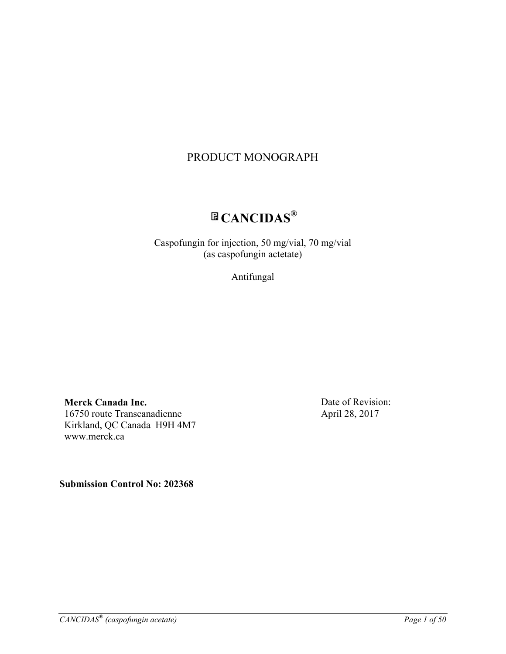# PRODUCT MONOGRAPH

# **CANCIDAS®**

Caspofungin for injection, 50 mg/vial, 70 mg/vial (as caspofungin actetate)

Antifungal

**Merck Canada Inc.** 16750 route Transcanadienne Kirkland, QC Canada H9H 4M7 www.merck.ca

Date of Revision: April 28, 2017

**Submission Control No: 202368**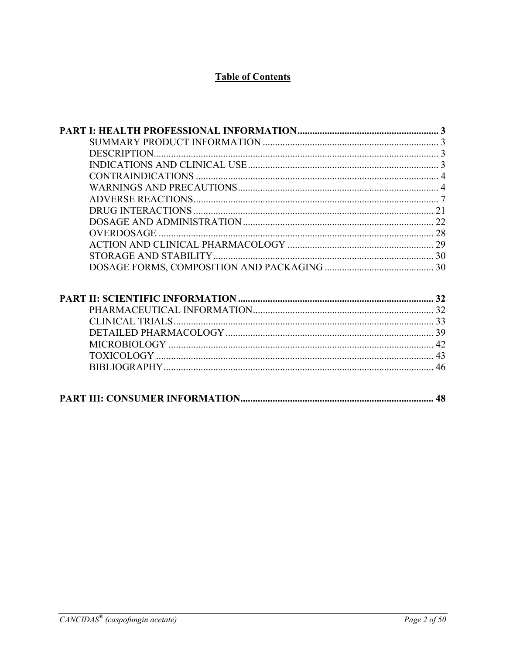# **Table of Contents**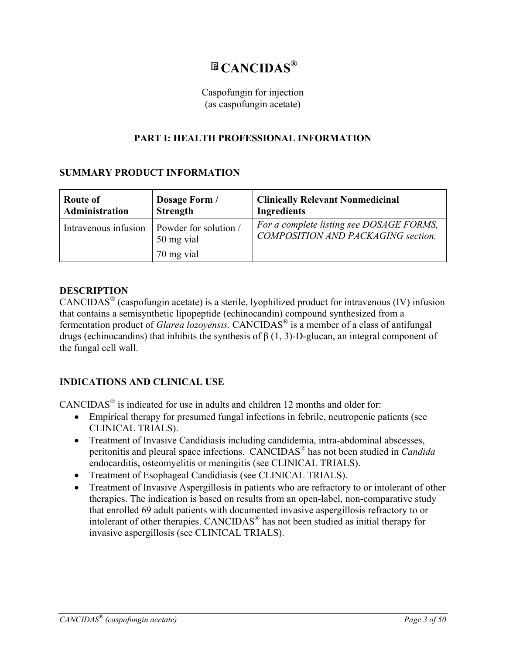# **CANCIDAS®**

### Caspofungin for injection (as caspofungin acetate)

# **PART I: HEALTH PROFESSIONAL INFORMATION**

# **SUMMARY PRODUCT INFORMATION**

| Route of             | Dosage Form /                                     | <b>Clinically Relevant Nonmedicinal</b>                                               |
|----------------------|---------------------------------------------------|---------------------------------------------------------------------------------------|
| Administration       | <b>Strength</b>                                   | <b>Ingredients</b>                                                                    |
| Intravenous infusion | Powder for solution /<br>50 mg vial<br>70 mg vial | For a complete listing see DOSAGE FORMS,<br><b>COMPOSITION AND PACKAGING section.</b> |

### **DESCRIPTION**

CANCIDAS® (caspofungin acetate) is a sterile, lyophilized product for intravenous (IV) infusion that contains a semisynthetic lipopeptide (echinocandin) compound synthesized from a fermentation product of *Glarea lozoyensis.* CANCIDAS® is a member of a class of antifungal drugs (echinocandins) that inhibits the synthesis of β (1, 3)-D-glucan, an integral component of the fungal cell wall.

# **INDICATIONS AND CLINICAL USE**

CANCIDAS® is indicated for use in adults and children 12 months and older for:

- Empirical therapy for presumed fungal infections in febrile, neutropenic patients (see CLINICAL TRIALS).
- Treatment of Invasive Candidiasis including candidemia, intra-abdominal abscesses, peritonitis and pleural space infections. CANCIDAS® has not been studied in *Candida* endocarditis, osteomyelitis or meningitis (see CLINICAL TRIALS).
- Treatment of Esophageal Candidiasis (see CLINICAL TRIALS).
- Treatment of Invasive Aspergillosis in patients who are refractory to or intolerant of other therapies. The indication is based on results from an open-label, non-comparative study that enrolled 69 adult patients with documented invasive aspergillosis refractory to or intolerant of other therapies. CANCIDAS® has not been studied as initial therapy for invasive aspergillosis (see CLINICAL TRIALS).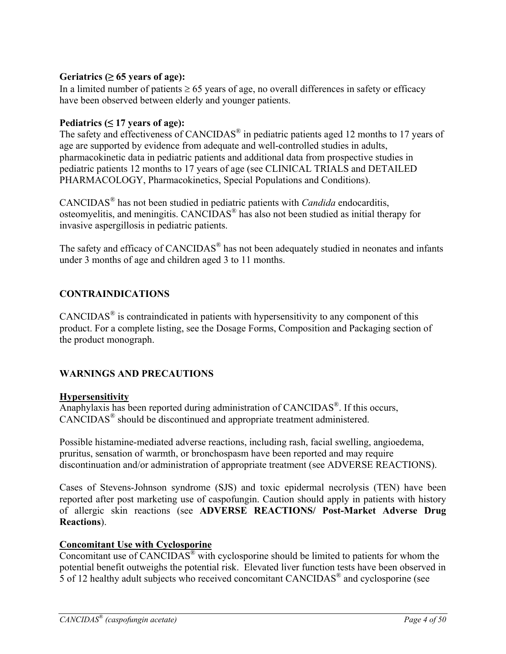### Geriatrics  $(≥ 65$  years of age):

In a limited number of patients  $\geq 65$  years of age, no overall differences in safety or efficacy have been observed between elderly and younger patients.

### Pediatrics  $( \leq 17$  years of age):

The safety and effectiveness of CANCIDAS<sup>®</sup> in pediatric patients aged 12 months to 17 years of age are supported by evidence from adequate and well-controlled studies in adults, pharmacokinetic data in pediatric patients and additional data from prospective studies in pediatric patients 12 months to 17 years of age (see CLINICAL TRIALS and DETAILED PHARMACOLOGY, Pharmacokinetics, Special Populations and Conditions).

CANCIDAS® has not been studied in pediatric patients with *Candida* endocarditis, osteomyelitis, and meningitis. CANCIDAS® has also not been studied as initial therapy for invasive aspergillosis in pediatric patients.

The safety and efficacy of CANCIDAS<sup>®</sup> has not been adequately studied in neonates and infants under 3 months of age and children aged 3 to 11 months.

# **CONTRAINDICATIONS**

 $CANCIDAS<sup>®</sup>$  is contraindicated in patients with hypersensitivity to any component of this product. For a complete listing, see the Dosage Forms, Composition and Packaging section of the product monograph.

# **WARNINGS AND PRECAUTIONS**

### **Hypersensitivity**

Anaphylaxis has been reported during administration of CANCIDAS®. If this occurs, CANCIDAS® should be discontinued and appropriate treatment administered.

Possible histamine-mediated adverse reactions, including rash, facial swelling, angioedema, pruritus, sensation of warmth, or bronchospasm have been reported and may require discontinuation and/or administration of appropriate treatment (see ADVERSE REACTIONS).

Cases of Stevens-Johnson syndrome (SJS) and toxic epidermal necrolysis (TEN) have been reported after post marketing use of caspofungin. Caution should apply in patients with history of allergic skin reactions (see **ADVERSE REACTIONS/ Post-Market Adverse Drug Reactions**).

# **Concomitant Use with Cyclosporine**

Concomitant use of  $CANCIDAS^{\circledast}$  with cyclosporine should be limited to patients for whom the potential benefit outweighs the potential risk. Elevated liver function tests have been observed in 5 of 12 healthy adult subjects who received concomitant CANCIDAS® and cyclosporine (see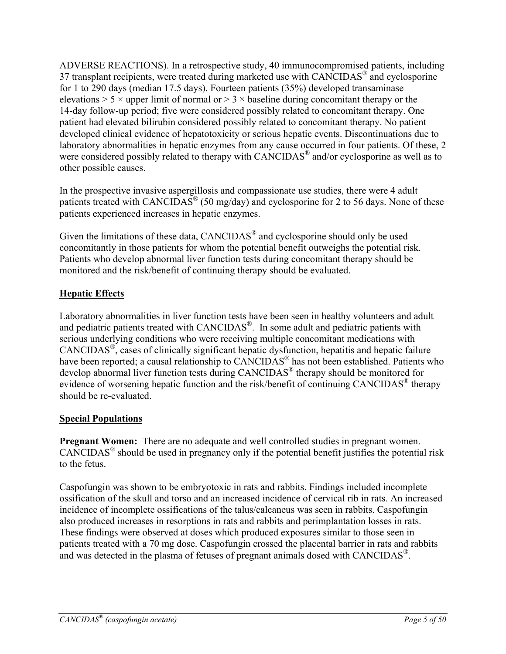ADVERSE REACTIONS). In a retrospective study, 40 immunocompromised patients, including 37 transplant recipients, were treated during marketed use with CANCIDAS<sup>®</sup> and cyclosporine for 1 to 290 days (median 17.5 days). Fourteen patients (35%) developed transaminase elevations  $> 5 \times$  upper limit of normal or  $> 3 \times$  baseline during concomitant therapy or the 14-day follow-up period; five were considered possibly related to concomitant therapy. One patient had elevated bilirubin considered possibly related to concomitant therapy. No patient developed clinical evidence of hepatotoxicity or serious hepatic events. Discontinuations due to laboratory abnormalities in hepatic enzymes from any cause occurred in four patients. Of these, 2 were considered possibly related to therapy with CANCIDAS<sup>®</sup> and/or cyclosporine as well as to other possible causes.

In the prospective invasive aspergillosis and compassionate use studies, there were 4 adult patients treated with CANCIDAS<sup>®</sup> (50 mg/day) and cyclosporine for 2 to 56 days. None of these patients experienced increases in hepatic enzymes.

Given the limitations of these data, CANCIDAS® and cyclosporine should only be used concomitantly in those patients for whom the potential benefit outweighs the potential risk. Patients who develop abnormal liver function tests during concomitant therapy should be monitored and the risk/benefit of continuing therapy should be evaluated.

# **Hepatic Effects**

Laboratory abnormalities in liver function tests have been seen in healthy volunteers and adult and pediatric patients treated with CANCIDAS®. In some adult and pediatric patients with serious underlying conditions who were receiving multiple concomitant medications with CANCIDAS®, cases of clinically significant hepatic dysfunction, hepatitis and hepatic failure have been reported; a causal relationship to CANCIDAS<sup>®</sup> has not been established. Patients who develop abnormal liver function tests during CANCIDAS® therapy should be monitored for evidence of worsening hepatic function and the risk/benefit of continuing CANCIDAS® therapy should be re-evaluated.

# **Special Populations**

**Pregnant Women:** There are no adequate and well controlled studies in pregnant women.  $CANCIDAS^{\circledast}$  should be used in pregnancy only if the potential benefit justifies the potential risk to the fetus.

Caspofungin was shown to be embryotoxic in rats and rabbits. Findings included incomplete ossification of the skull and torso and an increased incidence of cervical rib in rats. An increased incidence of incomplete ossifications of the talus/calcaneus was seen in rabbits. Caspofungin also produced increases in resorptions in rats and rabbits and perimplantation losses in rats. These findings were observed at doses which produced exposures similar to those seen in patients treated with a 70 mg dose. Caspofungin crossed the placental barrier in rats and rabbits and was detected in the plasma of fetuses of pregnant animals dosed with CANCIDAS<sup>®</sup>.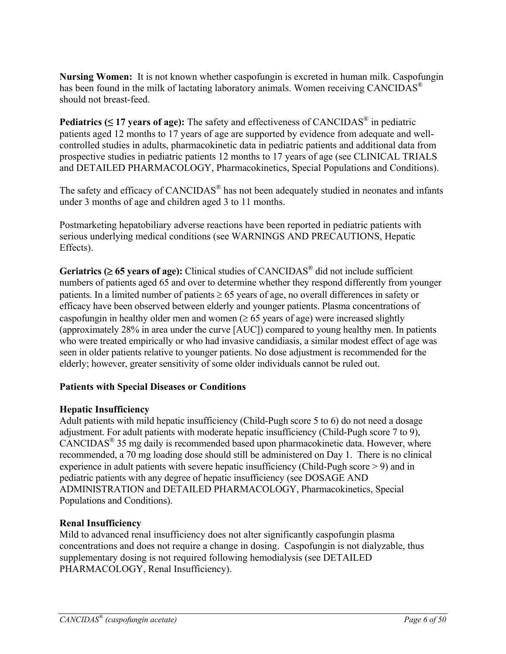**Nursing Women:** It is not known whether caspofungin is excreted in human milk. Caspofungin has been found in the milk of lactating laboratory animals. Women receiving CANCIDAS<sup>®</sup> should not breast-feed.

**Pediatrics (≤ 17 years of age):** The safety and effectiveness of CANCIDAS® in pediatric patients aged 12 months to 17 years of age are supported by evidence from adequate and wellcontrolled studies in adults, pharmacokinetic data in pediatric patients and additional data from prospective studies in pediatric patients 12 months to 17 years of age (see CLINICAL TRIALS and DETAILED PHARMACOLOGY, Pharmacokinetics, Special Populations and Conditions).

The safety and efficacy of CANCIDAS® has not been adequately studied in neonates and infants under 3 months of age and children aged 3 to 11 months.

Postmarketing hepatobiliary adverse reactions have been reported in pediatric patients with serious underlying medical conditions (see WARNINGS AND PRECAUTIONS, Hepatic Effects).

**Geriatrics (** $\geq 65$  **years of age):** Clinical studies of CANCIDAS<sup>®</sup> did not include sufficient numbers of patients aged 65 and over to determine whether they respond differently from younger patients. In a limited number of patients  $\geq 65$  years of age, no overall differences in safety or efficacy have been observed between elderly and younger patients. Plasma concentrations of caspofungin in healthy older men and women  $(\geq 65$  years of age) were increased slightly (approximately 28% in area under the curve [AUC]) compared to young healthy men. In patients who were treated empirically or who had invasive candidiasis, a similar modest effect of age was seen in older patients relative to younger patients. No dose adjustment is recommended for the elderly; however, greater sensitivity of some older individuals cannot be ruled out.

# **Patients with Special Diseases or Conditions**

# **Hepatic Insufficiency**

Adult patients with mild hepatic insufficiency (Child-Pugh score 5 to 6) do not need a dosage adjustment. For adult patients with moderate hepatic insufficiency (Child-Pugh score 7 to 9), CANCIDAS® 35 mg daily is recommended based upon pharmacokinetic data. However, where recommended, a 70 mg loading dose should still be administered on Day 1. There is no clinical experience in adult patients with severe hepatic insufficiency (Child-Pugh score > 9) and in pediatric patients with any degree of hepatic insufficiency (see DOSAGE AND ADMINISTRATION and DETAILED PHARMACOLOGY, Pharmacokinetics, Special Populations and Conditions).

# **Renal Insufficiency**

Mild to advanced renal insufficiency does not alter significantly caspofungin plasma concentrations and does not require a change in dosing. Caspofungin is not dialyzable, thus supplementary dosing is not required following hemodialysis (see DETAILED PHARMACOLOGY, Renal Insufficiency).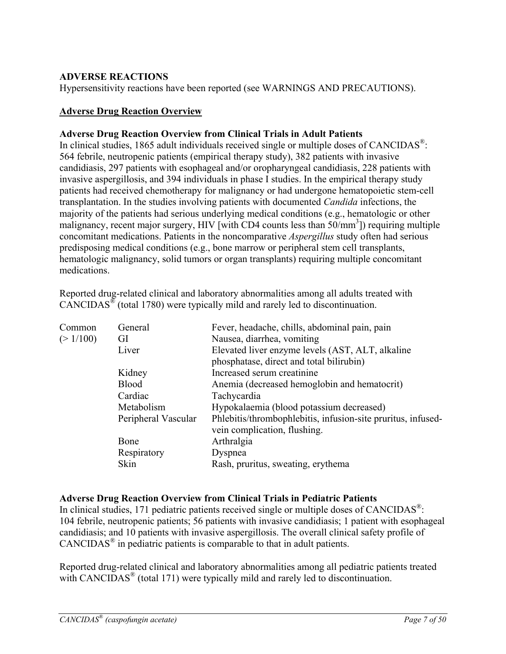### **ADVERSE REACTIONS**

Hypersensitivity reactions have been reported (see WARNINGS AND PRECAUTIONS).

### **Adverse Drug Reaction Overview**

### **Adverse Drug Reaction Overview from Clinical Trials in Adult Patients**

In clinical studies, 1865 adult individuals received single or multiple doses of CANCIDAS<sup>®</sup>: 564 febrile, neutropenic patients (empirical therapy study), 382 patients with invasive candidiasis, 297 patients with esophageal and/or oropharyngeal candidiasis, 228 patients with invasive aspergillosis, and 394 individuals in phase I studies. In the empirical therapy study patients had received chemotherapy for malignancy or had undergone hematopoietic stem-cell transplantation. In the studies involving patients with documented *Candida* infections, the majority of the patients had serious underlying medical conditions (e.g., hematologic or other malignancy, recent major surgery, HIV [with CD4 counts less than 50/mm<sup>3</sup>]) requiring multiple concomitant medications. Patients in the noncomparative *Aspergillus* study often had serious predisposing medical conditions (e.g., bone marrow or peripheral stem cell transplants, hematologic malignancy, solid tumors or organ transplants) requiring multiple concomitant medications.

Reported drug-related clinical and laboratory abnormalities among all adults treated with CANCIDAS® (total 1780) were typically mild and rarely led to discontinuation.

| Common   | General             | Fever, headache, chills, abdominal pain, pain                |
|----------|---------------------|--------------------------------------------------------------|
| (>1/100) | GI                  | Nausea, diarrhea, vomiting                                   |
|          | Liver               | Elevated liver enzyme levels (AST, ALT, alkaline             |
|          |                     | phosphatase, direct and total bilirubin)                     |
|          | Kidney              | Increased serum creatinine                                   |
|          | <b>Blood</b>        | Anemia (decreased hemoglobin and hematocrit)                 |
|          | Cardiac             | Tachycardia                                                  |
|          | Metabolism          | Hypokalaemia (blood potassium decreased)                     |
|          | Peripheral Vascular | Phlebitis/thrombophlebitis, infusion-site pruritus, infused- |
|          |                     | vein complication, flushing.                                 |
|          | Bone                | Arthralgia                                                   |
|          | Respiratory         | Dyspnea                                                      |
|          | Skin                | Rash, pruritus, sweating, erythema                           |

# **Adverse Drug Reaction Overview from Clinical Trials in Pediatric Patients**

In clinical studies, 171 pediatric patients received single or multiple doses of CANCIDAS<sup>®</sup>: 104 febrile, neutropenic patients; 56 patients with invasive candidiasis; 1 patient with esophageal candidiasis; and 10 patients with invasive aspergillosis. The overall clinical safety profile of CANCIDAS® in pediatric patients is comparable to that in adult patients.

Reported drug-related clinical and laboratory abnormalities among all pediatric patients treated with CANCIDAS<sup>®</sup> (total 171) were typically mild and rarely led to discontinuation.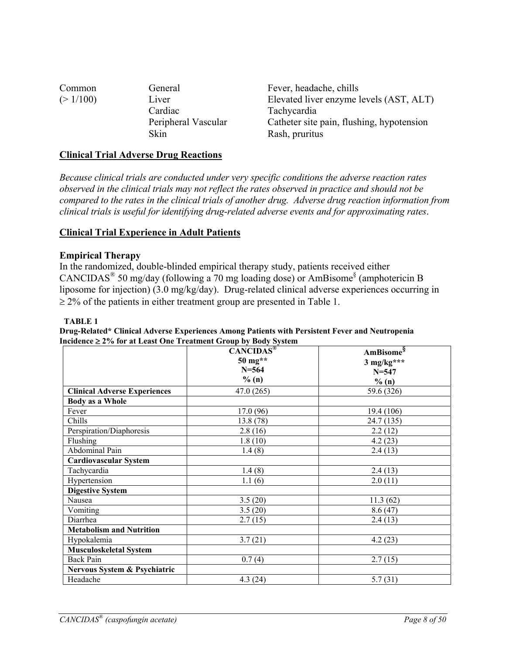| Common   | General             | Fever, headache, chills                   |
|----------|---------------------|-------------------------------------------|
| (>1/100) | Liver               | Elevated liver enzyme levels (AST, ALT)   |
|          | Cardiac             | <b>Tachycardia</b>                        |
|          | Peripheral Vascular | Catheter site pain, flushing, hypotension |
|          | Skin                | Rash, pruritus                            |

### **Clinical Trial Adverse Drug Reactions**

*Because clinical trials are conducted under very specific conditions the adverse reaction rates observed in the clinical trials may not reflect the rates observed in practice and should not be compared to the rates in the clinical trials of another drug. Adverse drug reaction information from clinical trials is useful for identifying drug-related adverse events and for approximating rates*.

#### **Clinical Trial Experience in Adult Patients**

#### **Empirical Therapy**

In the randomized, double-blinded empirical therapy study, patients received either CANCIDAS<sup>®</sup> 50 mg/day (following a 70 mg loading dose) or AmBisome<sup>§</sup> (amphotericin B liposome for injection) (3.0 mg/kg/day). Drug-related clinical adverse experiences occurring in  $\geq$  2% of the patients in either treatment group are presented in Table 1.

#### **TABLE 1**

| Drug-Related* Clinical Adverse Experiences Among Patients with Persistent Fever and Neutropenia |
|-------------------------------------------------------------------------------------------------|
| Incidence $\geq$ 2% for at Least One Treatment Group by Body System                             |

|                                     | CANCIDAS <sup>®</sup> | AmBisome <sup>§</sup> |
|-------------------------------------|-----------------------|-----------------------|
|                                     | 50 mg**               | $3$ mg/kg***          |
|                                     | $N = 564$             | $N = 547$             |
|                                     | % (n)                 | % (n)                 |
| <b>Clinical Adverse Experiences</b> | 47.0(265)             | 59.6 (326)            |
| <b>Body as a Whole</b>              |                       |                       |
| Fever                               | 17.0(96)              | 19.4 (106)            |
| Chills                              | 13.8 (78)             | 24.7 (135)            |
| Perspiration/Diaphoresis            | 2.8(16)               | 2.2(12)               |
| Flushing                            | 1.8(10)               | 4.2(23)               |
| <b>Abdominal Pain</b>               | 1.4(8)                | 2.4(13)               |
| <b>Cardiovascular System</b>        |                       |                       |
| Tachycardia                         | 1.4(8)                | 2.4(13)               |
| Hypertension                        | 1.1(6)                | 2.0(11)               |
| <b>Digestive System</b>             |                       |                       |
| Nausea                              | 3.5(20)               | 11.3(62)              |
| Vomiting                            | 3.5(20)               | 8.6(47)               |
| Diarrhea                            | 2.7(15)               | 2.4(13)               |
| <b>Metabolism and Nutrition</b>     |                       |                       |
| Hypokalemia                         | 3.7(21)               | 4.2(23)               |
| Musculoskeletal System              |                       |                       |
| <b>Back Pain</b>                    | 0.7(4)                | 2.7(15)               |
| Nervous System & Psychiatric        |                       |                       |
| Headache                            | 4.3(24)               | 5.7(31)               |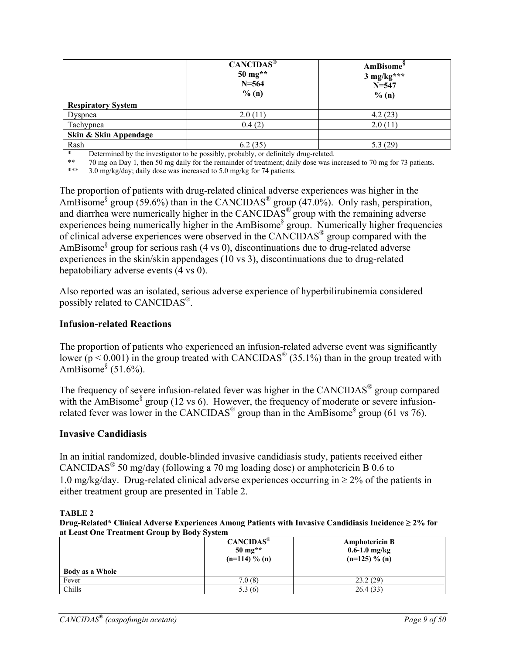|                           | CANCIDAS <sup>®</sup><br>$50 \text{ mg}$ **<br>$N = 564$<br>% (n) | <b>AmBisome</b> <sup>8</sup><br>$3$ mg/kg***<br>$N = 547$<br>% (n) |  |
|---------------------------|-------------------------------------------------------------------|--------------------------------------------------------------------|--|
| <b>Respiratory System</b> |                                                                   |                                                                    |  |
| Dyspnea                   | 2.0(11)                                                           | 4.2(23)                                                            |  |
| Tachypnea                 | 0.4(2)                                                            | 2.0(11)                                                            |  |
| Skin & Skin Appendage     |                                                                   |                                                                    |  |
| Rash                      | 6.2(35)                                                           | 5.3 (29)                                                           |  |

Determined by the investigator to be possibly, probably, or definitely drug-related.

\*\* 70 mg on Day 1, then 50 mg daily for the remainder of treatment; daily dose was increased to 70 mg for 73 patients.

 $3.0 \text{ mg/kg/day}$ ; daily dose was increased to  $5.0 \text{ mg/kg}$  for 74 patients.

The proportion of patients with drug-related clinical adverse experiences was higher in the AmBisome<sup>§</sup> group (59.6%) than in the CANCIDAS<sup>®</sup> group (47.0%). Only rash, perspiration, and diarrhea were numerically higher in the CANCIDAS<sup>®</sup> group with the remaining adverse experiences being numerically higher in the AmBisome<sup>§</sup> group. Numerically higher frequencies of clinical adverse experiences were observed in the CANCIDAS® group compared with the AmBisome§ group for serious rash (4 vs 0), discontinuations due to drug-related adverse experiences in the skin/skin appendages (10 vs 3), discontinuations due to drug-related hepatobiliary adverse events (4 vs 0).

Also reported was an isolated, serious adverse experience of hyperbilirubinemia considered possibly related to CANCIDAS®.

#### **Infusion-related Reactions**

The proportion of patients who experienced an infusion-related adverse event was significantly lower ( $p < 0.001$ ) in the group treated with CANCIDAS<sup>®</sup> (35.1%) than in the group treated with AmBisome $§$  (51.6%).

The frequency of severe infusion-related fever was higher in the CANCIDAS® group compared with the AmBisome<sup>§</sup> group (12 vs 6). However, the frequency of moderate or severe infusionrelated fever was lower in the CANCIDAS<sup>®</sup> group than in the AmBisome<sup>§</sup> group (61 vs 76).

#### **Invasive Candidiasis**

In an initial randomized, double-blinded invasive candidiasis study, patients received either CANCIDAS® 50 mg/day (following a 70 mg loading dose) or amphotericin B 0.6 to 1.0 mg/kg/day. Drug-related clinical adverse experiences occurring in  $\geq 2\%$  of the patients in either treatment group are presented in Table 2.

#### **TABLE 2**

**Drug-Related\* Clinical Adverse Experiences Among Patients with Invasive Candidiasis Incidence ≥ 2% for at Least One Treatment Group by Body System**

|                        | $CANCIDAS^{\circledast}$<br>$50 \,\mathrm{mg^{**}}$<br>$(n=114) \% (n)$ | <b>Amphotericin B</b><br>$0.6 - 1.0$ mg/kg<br>$(n=125) \% (n)$ |
|------------------------|-------------------------------------------------------------------------|----------------------------------------------------------------|
| <b>Body as a Whole</b> |                                                                         |                                                                |
| Fever                  | 7.0(8)                                                                  | 23.2(29)                                                       |
| Chills                 | 5.3(6)                                                                  | 26.4(33)                                                       |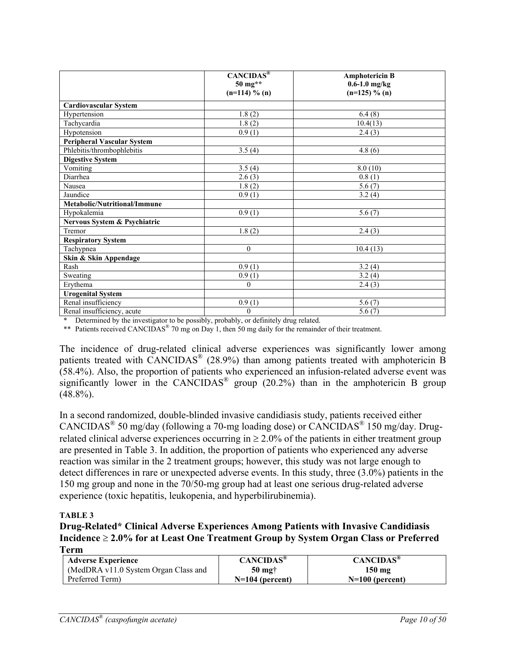|                                   | $CANCIDAS^®$<br>50 mg**<br>$(n=114)$ % (n) | <b>Amphotericin B</b><br>$0.6 - 1.0$ mg/kg<br>$(n=125) \% (n)$ |
|-----------------------------------|--------------------------------------------|----------------------------------------------------------------|
| <b>Cardiovascular System</b>      |                                            |                                                                |
| Hypertension                      | 1.8(2)                                     | 6.4(8)                                                         |
| Tachycardia                       | 1.8(2)                                     | 10.4(13)                                                       |
| Hypotension                       | 0.9(1)                                     | 2.4(3)                                                         |
| <b>Peripheral Vascular System</b> |                                            |                                                                |
| Phlebitis/thrombophlebitis        | 3.5(4)                                     | 4.8(6)                                                         |
| <b>Digestive System</b>           |                                            |                                                                |
| Vomiting                          | 3.5(4)                                     | 8.0(10)                                                        |
| Diarrhea                          | 2.6(3)                                     | 0.8(1)                                                         |
| Nausea                            | 1.8(2)                                     | 5.6(7)                                                         |
| Jaundice                          | 0.9(1)                                     | 3.2(4)                                                         |
| Metabolic/Nutritional/Immune      |                                            |                                                                |
| Hypokalemia                       | 0.9(1)                                     | 5.6(7)                                                         |
| Nervous System & Psychiatric      |                                            |                                                                |
| Tremor                            | 1.8(2)                                     | 2.4(3)                                                         |
| <b>Respiratory System</b>         |                                            |                                                                |
| Tachypnea                         | $\mathbf{0}$                               | 10.4(13)                                                       |
| Skin & Skin Appendage             |                                            |                                                                |
| Rash                              | $\overline{0.9}$ (1)                       | 3.2(4)                                                         |
| Sweating                          | $\overline{0.9(1)}$                        | 3.2(4)                                                         |
| Erythema                          | $\mathbf{0}$                               | 2.4(3)                                                         |
| <b>Urogenital System</b>          |                                            |                                                                |
| Renal insufficiency               | 0.9(1)                                     | 5.6(7)                                                         |
| Renal insufficiency, acute        | $\boldsymbol{0}$                           | 5.6(7)                                                         |

Determined by the investigator to be possibly, probably, or definitely drug related.

\*\* Patients received CANCIDAS<sup>®</sup> 70 mg on Day 1, then 50 mg daily for the remainder of their treatment.

The incidence of drug-related clinical adverse experiences was significantly lower among patients treated with CANCIDAS® (28.9%) than among patients treated with amphotericin B (58.4%). Also, the proportion of patients who experienced an infusion-related adverse event was significantly lower in the CANCIDAS<sup>®</sup> group (20.2%) than in the amphotericin B group  $(48.8\%)$ .

In a second randomized, double-blinded invasive candidiasis study, patients received either CANCIDAS<sup>®</sup> 50 mg/day (following a 70-mg loading dose) or CANCIDAS<sup>®</sup> 150 mg/day. Drugrelated clinical adverse experiences occurring in  $\geq 2.0\%$  of the patients in either treatment group are presented in Table 3. In addition, the proportion of patients who experienced any adverse reaction was similar in the 2 treatment groups; however, this study was not large enough to detect differences in rare or unexpected adverse events. In this study, three (3.0%) patients in the 150 mg group and none in the 70/50-mg group had at least one serious drug-related adverse experience (toxic hepatitis, leukopenia, and hyperbilirubinemia).

#### **TABLE 3**

**Drug-Related\* Clinical Adverse Experiences Among Patients with Invasive Candidiasis**  Incidence  $\geq 2.0\%$  for at Least One Treatment Group by System Organ Class or Preferred **Term**

| ---------                            |                              |                              |
|--------------------------------------|------------------------------|------------------------------|
| <b>Adverse Experience</b>            | <b>CANCIDAS</b> <sup>®</sup> | <b>CANCIDAS</b> <sup>®</sup> |
| (MedDRA v11.0 System Organ Class and | $50 \text{ m}$ g†            | $150 \text{ mg}$             |
| Preferred Term                       | $N=104$ (percent)            | $N=100$ (percent)            |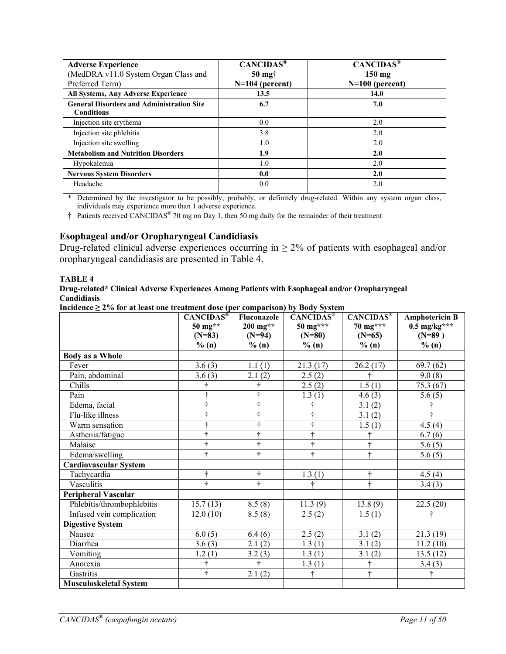| <b>Adverse Experience</b><br>(MedDRA v11.0 System Organ Class and<br>Preferred Term) | CANCIDAS <sup>®</sup><br>$50$ mg $\dagger$<br>$N=104$ (percent) | $CAN\overline{CIDAS^{\circledast}}$<br>$150$ mg<br>$N=100$ (percent) |
|--------------------------------------------------------------------------------------|-----------------------------------------------------------------|----------------------------------------------------------------------|
| <b>All Systems, Any Adverse Experience</b>                                           | 13.5                                                            | 14.0                                                                 |
| <b>General Disorders and Administration Site</b><br><b>Conditions</b>                | 6.7                                                             | 7.0                                                                  |
| Injection site erythema                                                              | 0.0                                                             | 2.0                                                                  |
| Injection site phlebitis                                                             | 3.8                                                             | 2.0                                                                  |
| Injection site swelling                                                              | 1.0                                                             | 2.0                                                                  |
| <b>Metabolism and Nutrition Disorders</b>                                            | 1.9                                                             | 2.0                                                                  |
| Hypokalemia                                                                          | 1.0                                                             | 2.0                                                                  |
| <b>Nervous System Disorders</b>                                                      | 0.0                                                             | 2.0                                                                  |
| Headache                                                                             | 0.0                                                             | 2.0                                                                  |

\* Determined by the investigator to be possibly, probably, or definitely drug-related. Within any system organ class, individuals may experience more than 1 adverse experience.

† Patients received CANCIDAS**®** 70 mg on Day 1, then 50 mg daily for the remainder of their treatment

#### **Esophageal and/or Oropharyngeal Candidiasis**

Drug-related clinical adverse experiences occurring in  $\geq 2\%$  of patients with esophageal and/or oropharyngeal candidiasis are presented in Table 4.

#### **TABLE 4**

#### **Drug-related\* Clinical Adverse Experiences Among Patients with Esophageal and/or Oropharyngeal Candidiasis**

**Incidence ≥ 2% for at least one treatment dose (per comparison) by Body System**

| $\sim$ 101 at it as the comment above (per comparison) by Doug bysicm | CANCIDAS <sup>®</sup> | Fluconazole           | <b>CANCIDAS®</b> | CANCIDAS <sup>®</sup> | <b>Amphotericin B</b>     |
|-----------------------------------------------------------------------|-----------------------|-----------------------|------------------|-----------------------|---------------------------|
|                                                                       | $50 \text{ mg}^{**}$  | $200 \text{ mg}^{**}$ | $50$ mg***       | $70 \text{ mg}$ ***   | $0.5 \text{ mg/kg}^{***}$ |
|                                                                       | $(N=83)$              | $(N=94)$              | $(N=80)$         | $(N=65)$              | $(N=89)$                  |
|                                                                       | % (n)                 | $\%$ (n)              | % (n)            | % (n)                 | % (n)                     |
| <b>Body as a Whole</b>                                                |                       |                       |                  |                       |                           |
| Fever                                                                 | 3.6(3)                | 1.1(1)                | 21.3(17)         | 26.2(17)              | 69.7(62)                  |
| Pain, abdominal                                                       | 3.6(3)                | 2.1(2)                | 2.5(2)           | ÷                     | 9.0(8)                    |
| Chills                                                                |                       |                       | 2.5(2)           | 1.5(1)                | 75.3(67)                  |
| Pain                                                                  |                       | ÷                     | 1.3(1)           | 4.6(3)                | 5.6(5)                    |
| Edema, facial                                                         | 4                     | ÷                     | ÷                | 3.1(2)                |                           |
| Flu-like illness                                                      |                       | ÷                     | ÷                | 3.1(2)                |                           |
| Warm sensation                                                        | A.                    | ÷                     | ÷                | 1.5(1)                | 4.5(4)                    |
| Asthenia/fatigue                                                      | ÷                     | ÷                     | ÷                | ÷                     | 6.7(6)                    |
| Malaise                                                               | 4                     | ÷                     | ÷                |                       | 5.6(5)                    |
| Edema/swelling                                                        | 4                     | ÷                     | ÷                | 4                     | 5.6(5)                    |
| <b>Cardiovascular System</b>                                          |                       |                       |                  |                       |                           |
| Tachycardia                                                           | ÷                     | ÷                     | 1.3(1)           | ÷                     | 4.5(4)                    |
| Vasculitis                                                            | ÷                     | ÷                     | ÷                | ÷                     | 3.4(3)                    |
| <b>Peripheral Vascular</b>                                            |                       |                       |                  |                       |                           |
| Phlebitis/thrombophlebitis                                            | 15.7(13)              | 8.5(8)                | 11.3(9)          | 13.8(9)               | 22.5(20)                  |
| Infused vein complication                                             | 12.0(10)              | 8.5(8)                | 2.5(2)           | 1.5(1)                | ÷                         |
| <b>Digestive System</b>                                               |                       |                       |                  |                       |                           |
| Nausea                                                                | 6.0(5)                | 6.4(6)                | 2.5(2)           | 3.1(2)                | 21.3(19)                  |
| Diarrhea                                                              | 3.6(3)                | 2.1(2)                | 1.3(1)           | 3.1(2)                | 11.2(10)                  |
| Vomiting                                                              | 1.2(1)                | 3.2(3)                | 1.3(1)           | 3.1(2)                | 13.5(12)                  |
| Anorexia                                                              |                       | 4                     | 1.3(1)           |                       | 3.4(3)                    |
| Gastritis                                                             | ÷                     | 2.1(2)                | ÷                | ÷                     | ÷                         |
| <b>Musculoskeletal System</b>                                         |                       |                       |                  |                       |                           |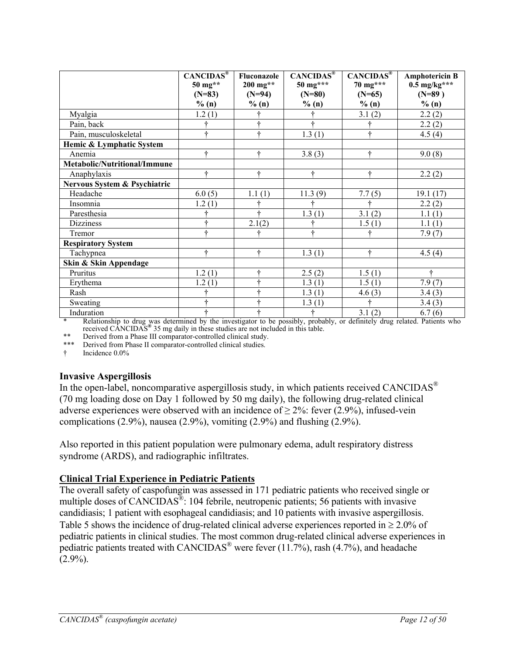|                              | CANCIDAS <sup>®</sup><br>$50 \text{ mg}^{**}$<br>$(N=83)$ | Fluconazole<br>$200$ mg**<br>$(N=94)$ | <b>CANCIDAS®</b><br>$50 \text{ mg}$ ***<br>$(N=80)$ | CANCIDAS <sup>®</sup><br>$70 \text{ mg}$ ***<br>$(N=65)$ | <b>Amphotericin B</b><br>$0.5$ mg/kg***<br>$(N=89)$ |
|------------------------------|-----------------------------------------------------------|---------------------------------------|-----------------------------------------------------|----------------------------------------------------------|-----------------------------------------------------|
|                              | % (n)                                                     | % (n)                                 | % (n)                                               | % (n)                                                    | % (n)                                               |
| Myalgia                      | 1.2(1)                                                    |                                       |                                                     | 3.1(2)                                                   | 2.2(2)                                              |
| Pain, back                   | ÷                                                         |                                       | ÷                                                   |                                                          | 2.2(2)                                              |
| Pain, musculoskeletal        | ÷                                                         | ÷                                     | $\overline{1}$ .3 (1)                               | ÷                                                        | 4.5(4)                                              |
| Hemic & Lymphatic System     |                                                           |                                       |                                                     |                                                          |                                                     |
| Anemia                       | ÷                                                         | ÷                                     | 3.8(3)                                              | ÷                                                        | 9.0(8)                                              |
| Metabolic/Nutritional/Immune |                                                           |                                       |                                                     |                                                          |                                                     |
| Anaphylaxis                  | ÷                                                         | ÷                                     | ÷                                                   | ÷                                                        | 2.2(2)                                              |
| Nervous System & Psychiatric |                                                           |                                       |                                                     |                                                          |                                                     |
| Headache                     | 6.0(5)                                                    | 1.1(1)                                | 11.3(9)                                             | 7.7(5)                                                   | 19.1(17)                                            |
| Insomnia                     | 1.2(1)                                                    |                                       |                                                     | ÷                                                        | 2.2(2)                                              |
| Paresthesia                  |                                                           | ÷                                     | 1.3(1)                                              | 3.1(2)                                                   | 1.1(1)                                              |
| <b>Dizziness</b>             |                                                           | 2.1(2)                                |                                                     | 1.5(1)                                                   | 1.1(1)                                              |
| Tremor                       |                                                           |                                       | ÷                                                   | ÷                                                        | 7.9(7)                                              |
| <b>Respiratory System</b>    |                                                           |                                       |                                                     |                                                          |                                                     |
| Tachypnea                    | ÷                                                         | ÷                                     | 1.3(1)                                              | ÷                                                        | 4.5(4)                                              |
| Skin & Skin Appendage        |                                                           |                                       |                                                     |                                                          |                                                     |
| Pruritus                     | 1.2(1)                                                    |                                       | 2.5(2)                                              | 1.5(1)                                                   | ÷                                                   |
| Erythema                     | 1.2(1)                                                    |                                       | 1.3(1)                                              | 1.5(1)                                                   | 7.9(7)                                              |
| Rash                         |                                                           |                                       | 1.3(1)                                              | 4.6(3)                                                   | 3.4(3)                                              |
| Sweating                     |                                                           |                                       | 1.3(1)                                              | ÷                                                        | 3.4(3)                                              |
| Induration                   |                                                           |                                       |                                                     | 3.1(2)                                                   | 6.7(6)                                              |

\* Relationship to drug was determined by the investigator to be possibly, probably, or definitely drug related. Patients who received CANCIDAS**®** 35 mg daily in these studies are not included in this table.

\*\* Derived from a Phase III comparator-controlled clinical study.<br>\*\*\* Derived from Phase II comparator controlled clinical studies

Derived from Phase II comparator-controlled clinical studies.

† Incidence 0.0%

### **Invasive Aspergillosis**

In the open-label, noncomparative aspergillosis study, in which patients received CANCIDAS<sup>®</sup> (70 mg loading dose on Day 1 followed by 50 mg daily), the following drug-related clinical adverse experiences were observed with an incidence of  $\geq 2\%$ : fever (2.9%), infused-vein complications (2.9%), nausea (2.9%), vomiting (2.9%) and flushing (2.9%).

Also reported in this patient population were pulmonary edema, adult respiratory distress syndrome (ARDS), and radiographic infiltrates.

### **Clinical Trial Experience in Pediatric Patients**

The overall safety of caspofungin was assessed in 171 pediatric patients who received single or multiple doses of CANCIDAS<sup>®</sup>: 104 febrile, neutropenic patients; 56 patients with invasive candidiasis; 1 patient with esophageal candidiasis; and 10 patients with invasive aspergillosis. Table 5 shows the incidence of drug-related clinical adverse experiences reported in  $\geq 2.0\%$  of pediatric patients in clinical studies. The most common drug-related clinical adverse experiences in pediatric patients treated with  $CANCIDAS^{\circledast}$  were fever  $(11.7\%)$ , rash  $(4.7\%)$ , and headache  $(2.9\%)$ .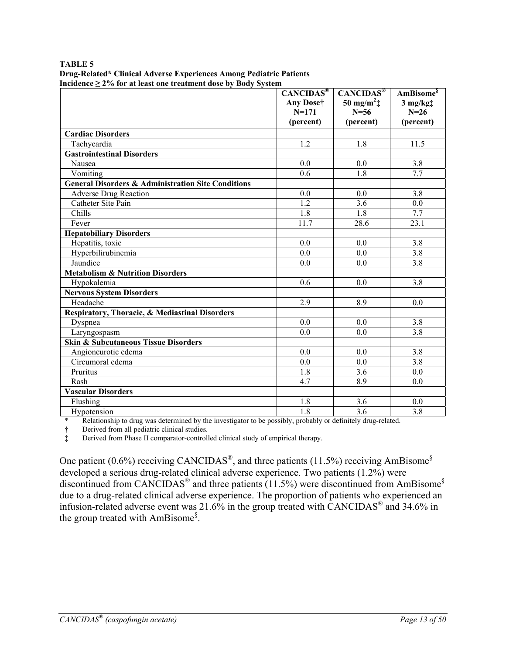| TABLE 5                                                             |
|---------------------------------------------------------------------|
| Drug-Related* Clinical Adverse Experiences Among Pediatric Patients |
| Incidence $\geq$ 2% for at least one treatment dose by Body System  |

|                                                               | $CANCIDAS^®$     | <b>CANCIDAS®</b>                | AmBisome <sup>§</sup> |
|---------------------------------------------------------------|------------------|---------------------------------|-----------------------|
|                                                               | Any Dose†        | 50 mg/m <sup>2</sup> $\ddagger$ | $3$ mg/kg $\ddagger$  |
|                                                               | $N = 171$        | $N = 56$                        | $N=26$                |
|                                                               | (percent)        | (percent)                       | (percent)             |
| <b>Cardiac Disorders</b>                                      |                  |                                 |                       |
| Tachycardia                                                   | 1.2              | 1.8                             | 11.5                  |
| <b>Gastrointestinal Disorders</b>                             |                  |                                 |                       |
| Nausea                                                        | 0.0              | 0.0                             | 3.8                   |
| Vomiting                                                      | 0.6              | 1.8                             | $\overline{7.7}$      |
| <b>General Disorders &amp; Administration Site Conditions</b> |                  |                                 |                       |
| <b>Adverse Drug Reaction</b>                                  | 0.0              | 0.0                             | 3.8                   |
| Catheter Site Pain                                            | $\overline{1.2}$ | 3.6                             | 0.0                   |
| Chills                                                        | 1.8              | 1.8                             | 7.7                   |
| Fever                                                         | 11.7             | 28.6                            | 23.1                  |
| <b>Hepatobiliary Disorders</b>                                |                  |                                 |                       |
| Hepatitis, toxic                                              | 0.0              | 0.0                             | 3.8                   |
| Hyperbilirubinemia                                            | 0.0              | 0.0                             | 3.8                   |
| Jaundice                                                      | 0.0              | 0.0                             | $\overline{3.8}$      |
| <b>Metabolism &amp; Nutrition Disorders</b>                   |                  |                                 |                       |
| Hypokalemia                                                   | 0.6              | 0.0                             | 3.8                   |
| <b>Nervous System Disorders</b>                               |                  |                                 |                       |
| Headache                                                      | $\overline{2.9}$ | 8.9                             | 0.0                   |
| Respiratory, Thoracic, & Mediastinal Disorders                |                  |                                 |                       |
| Dyspnea                                                       | 0.0              | 0.0                             | 3.8                   |
| Laryngospasm                                                  | 0.0              | 0.0                             | 3.8                   |
| <b>Skin &amp; Subcutaneous Tissue Disorders</b>               |                  |                                 |                       |
| Angioneurotic edema                                           | 0.0              | 0.0                             | 3.8                   |
| Circumoral edema                                              | 0.0              | 0.0                             | $\overline{3.8}$      |
| Pruritus                                                      | 1.8              | 3.6                             | 0.0                   |
| Rash                                                          | 4.7              | 8.9                             | 0.0                   |
| <b>Vascular Disorders</b>                                     |                  |                                 |                       |
| Flushing                                                      | 1.8              | 3.6                             | 0.0                   |
| Hypotension                                                   | 1.8              | 3.6                             | 3.8                   |

\* Relationship to drug was determined by the investigator to be possibly, probably or definitely drug-related.

† Derived from all pediatric clinical studies.

‡ Derived from Phase II comparator-controlled clinical study of empirical therapy.

One patient (0.6%) receiving CANCIDAS<sup>®</sup>, and three patients (11.5%) receiving AmBisome<sup>§</sup> developed a serious drug-related clinical adverse experience. Two patients (1.2%) were discontinued from CANCIDAS® and three patients (11.5%) were discontinued from AmBisome§ due to a drug-related clinical adverse experience. The proportion of patients who experienced an infusion-related adverse event was 21.6% in the group treated with CANCIDAS<sup>®</sup> and 34.6% in the group treated with AmBisome<sup>§</sup>.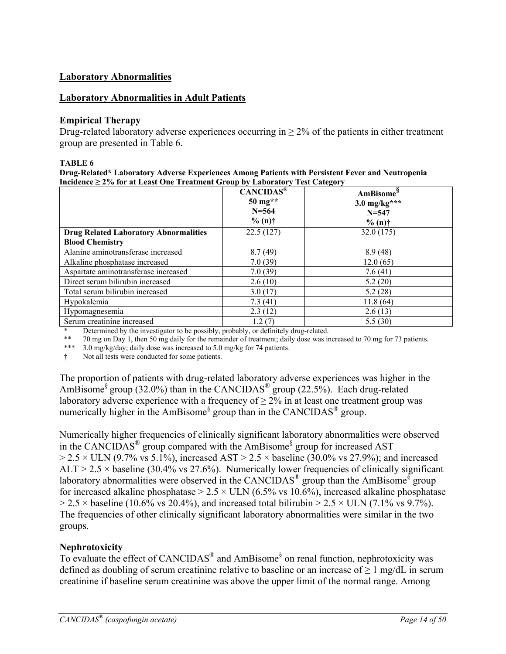### **Laboratory Abnormalities**

#### **Laboratory Abnormalities in Adult Patients**

#### **Empirical Therapy**

Drug-related laboratory adverse experiences occurring in  $\geq 2\%$  of the patients in either treatment group are presented in Table 6.

#### **TABLE 6**

**Drug-Related\* Laboratory Adverse Experiences Among Patients with Persistent Fever and Neutropenia Incidence ≥ 2% for at Least One Treatment Group by Laboratory Test Category**

|                                              | CANCIDAS <sup>®</sup><br>$50 \text{ mg}$ **<br>$N = 564$<br>$% (n)$ † | AmBisome <sup>8</sup><br>$3.0 \text{ mg/kg}$ ***<br>$N = 547$<br>$% (n)$ † |
|----------------------------------------------|-----------------------------------------------------------------------|----------------------------------------------------------------------------|
| <b>Drug Related Laboratory Abnormalities</b> | 22.5(127)                                                             | 32.0 (175)                                                                 |
| <b>Blood Chemistry</b>                       |                                                                       |                                                                            |
| Alanine aminotransferase increased           | 8.7(49)                                                               | 8.9(48)                                                                    |
| Alkaline phosphatase increased               | 7.0(39)                                                               | 12.0(65)                                                                   |
| Aspartate aminotransferase increased         | 7.0(39)                                                               | 7.6(41)                                                                    |
| Direct serum bilirubin increased             | 2.6(10)                                                               | 5.2(20)                                                                    |
| Total serum bilirubin increased              | 3.0(17)                                                               | 5.2(28)                                                                    |
| Hypokalemia                                  | 7.3(41)                                                               | 11.8(64)                                                                   |
| Hypomagnesemia                               | 2.3(12)                                                               | 2.6(13)                                                                    |
| Serum creatinine increased                   | 1.2(7)                                                                | 5.5(30)                                                                    |

Determined by the investigator to be possibly, probably, or definitely drug-related.

\*\* 70 mg on Day 1, then 50 mg daily for the remainder of treatment; daily dose was increased to 70 mg for 73 patients.

\*\*\* 3.0 mg/kg/day; daily dose was increased to 5.0 mg/kg for 74 patients.

Not all tests were conducted for some patients.

The proportion of patients with drug-related laboratory adverse experiences was higher in the AmBisome<sup>§</sup> group (32.0%) than in the CANCIDAS<sup>®</sup> group (22.5%). Each drug-related laboratory adverse experience with a frequency of  $\geq 2\%$  in at least one treatment group was numerically higher in the AmBisome<sup>§</sup> group than in the CANCIDAS<sup>®</sup> group.

Numerically higher frequencies of clinically significant laboratory abnormalities were observed in the CANCIDAS® group compared with the AmBisome§ group for increased AST  $> 2.5 \times$  ULN (9.7% vs 5.1%), increased AST  $> 2.5 \times$  baseline (30.0% vs 27.9%); and increased ALT  $> 2.5 \times$  baseline (30.4% vs 27.6%). Numerically lower frequencies of clinically significant laboratory abnormalities were observed in the CANCIDAS<sup>®</sup> group than the AmBisome<sup>§</sup> group for increased alkaline phosphatase  $> 2.5 \times$  ULN (6.5% vs 10.6%), increased alkaline phosphatase  $> 2.5 \times$  baseline (10.6% vs 20.4%), and increased total bilirubin  $> 2.5 \times$  ULN (7.1% vs 9.7%). The frequencies of other clinically significant laboratory abnormalities were similar in the two groups.

### **Nephrotoxicity**

To evaluate the effect of CANCIDAS<sup>®</sup> and AmBisome<sup>§</sup> on renal function, nephrotoxicity was defined as doubling of serum creatinine relative to baseline or an increase of  $\geq 1$  mg/dL in serum creatinine if baseline serum creatinine was above the upper limit of the normal range. Among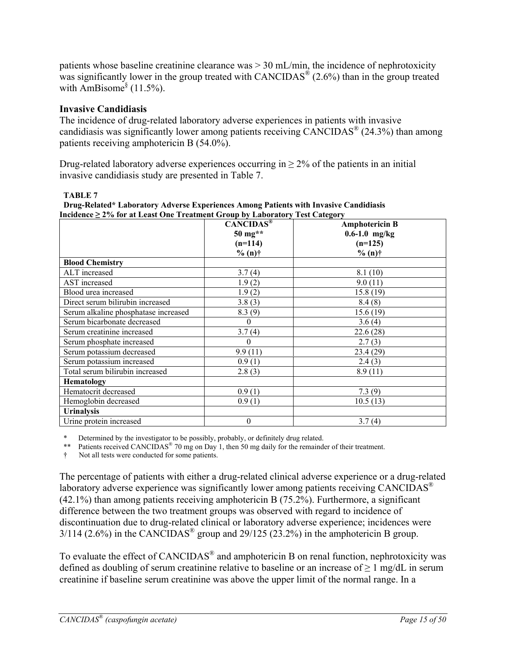patients whose baseline creatinine clearance was > 30 mL/min, the incidence of nephrotoxicity was significantly lower in the group treated with  $CANCIDAS^{\circledR}(2.6%)$  than in the group treated with AmBisome $\frac{8}{3}$  (11.5%).

### **Invasive Candidiasis**

The incidence of drug-related laboratory adverse experiences in patients with invasive candidiasis was significantly lower among patients receiving CANCIDAS® (24.3%) than among patients receiving amphotericin B (54.0%).

Drug-related laboratory adverse experiences occurring in  $\geq 2\%$  of the patients in an initial invasive candidiasis study are presented in Table 7.

**Drug-Related\* Laboratory Adverse Experiences Among Patients with Invasive Candidiasis Incidence ≥ 2% for at Least One Treatment Group by Laboratory Test Category** 

|                                      | CANCIDAS <sup>®</sup> | <b>Amphotericin B</b> |
|--------------------------------------|-----------------------|-----------------------|
|                                      | 50 mg**               | $0.6 - 1.0$ mg/kg     |
|                                      | $(n=114)$             | $(n=125)$             |
|                                      | $% (n)$ †             | $% (n)$ †             |
| <b>Blood Chemistry</b>               |                       |                       |
| ALT increased                        | 3.7(4)                | 8.1(10)               |
| AST increased                        | 1.9(2)                | 9.0(11)               |
| Blood urea increased                 | 1.9(2)                | 15.8(19)              |
| Direct serum bilirubin increased     | 3.8(3)                | 8.4(8)                |
| Serum alkaline phosphatase increased | 8.3(9)                | 15.6(19)              |
| Serum bicarbonate decreased          | $\theta$              | 3.6(4)                |
| Serum creatinine increased           | 3.7(4)                | 22.6(28)              |
| Serum phosphate increased            | $\theta$              | 2.7(3)                |
| Serum potassium decreased            | 9.9(11)               | 23.4(29)              |
| Serum potassium increased            | 0.9(1)                | 2.4(3)                |
| Total serum bilirubin increased      | 2.8(3)                | 8.9(11)               |
| Hematology                           |                       |                       |
| Hematocrit decreased                 | 0.9(1)                | 7.3(9)                |
| Hemoglobin decreased                 | 0.9(1)                | 10.5(13)              |
| <b>Urinalysis</b>                    |                       |                       |
| Urine protein increased              | $\boldsymbol{0}$      | 3.7(4)                |

\* Determined by the investigator to be possibly, probably, or definitely drug related.

\*\* Patients received CANCIDAS<sup>®</sup> 70 mg on Day 1, then 50 mg daily for the remainder of their treatment.

† Not all tests were conducted for some patients.

The percentage of patients with either a drug-related clinical adverse experience or a drug-related laboratory adverse experience was significantly lower among patients receiving CANCIDAS<sup>®</sup> (42.1%) than among patients receiving amphotericin B (75.2%). Furthermore, a significant difference between the two treatment groups was observed with regard to incidence of discontinuation due to drug-related clinical or laboratory adverse experience; incidences were  $3/114$  (2.6%) in the CANCIDAS<sup>®</sup> group and 29/125 (23.2%) in the amphotericin B group.

To evaluate the effect of CANCIDAS<sup>®</sup> and amphotericin B on renal function, nephrotoxicity was defined as doubling of serum creatinine relative to baseline or an increase of  $\geq 1$  mg/dL in serum creatinine if baseline serum creatinine was above the upper limit of the normal range. In a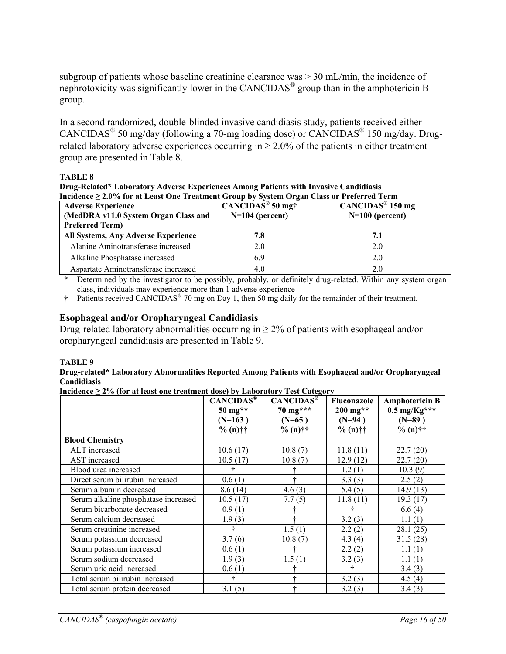subgroup of patients whose baseline creatinine clearance was > 30 mL/min, the incidence of nephrotoxicity was significantly lower in the CANCIDAS® group than in the amphotericin B group.

In a second randomized, double-blinded invasive candidiasis study, patients received either CANCIDAS<sup>®</sup> 50 mg/day (following a 70-mg loading dose) or CANCIDAS<sup>®</sup> 150 mg/day. Drugrelated laboratory adverse experiences occurring in  $\geq 2.0\%$  of the patients in either treatment group are presented in Table 8.

#### **TABLE 8**

**Drug-Related\* Laboratory Adverse Experiences Among Patients with Invasive Candidiasis Incidence ≥ 2.0% for at Least One Treatment Group by System Organ Class or Preferred Term**

| <b>Adverse Experience</b><br>(MedDRA v11.0 System Organ Class and<br><b>Preferred Term)</b> | $\overline{\text{CANCIDAS}}^{\textcircled{\tiny{\text{B}}}}$ 50 mg†<br>$N=104$ (percent) | $\overline{\text{CANCIDAS}}^{\circledR}$ 150 mg<br>$N=100$ (percent) |
|---------------------------------------------------------------------------------------------|------------------------------------------------------------------------------------------|----------------------------------------------------------------------|
| All Systems, Any Adverse Experience                                                         | 7.8                                                                                      | 7.1                                                                  |
| Alanine Aminotransferase increased                                                          | 2.0                                                                                      | 2.0                                                                  |
| Alkaline Phosphatase increased                                                              | 6.9                                                                                      | 2.0                                                                  |
| Aspartate Aminotransferase increased                                                        | 4.0                                                                                      | 2.0                                                                  |

\* Determined by the investigator to be possibly, probably, or definitely drug-related. Within any system organ class, individuals may experience more than 1 adverse experience

**†** Patients received CANCIDAS® 70 mg on Day 1, then 50 mg daily for the remainder of their treatment.

#### **Esophageal and/or Oropharyngeal Candidiasis**

Drug-related laboratory abnormalities occurring in  $\geq$  2% of patients with esophageal and/or oropharyngeal candidiasis are presented in Table 9.

#### **TABLE 9**

#### **Drug-related\* Laboratory Abnormalities Reported Among Patients with Esophageal and/or Oropharyngeal Candidiasis**

**Incidence ≥ 2% (for at least one treatment dose) by Laboratory Test Category**

| $\frac{1}{2}$ . The same $\frac{1}{2}$ is the second one in equation above) by Europeanor from equation | CANCIDAS®<br>$50 \text{ mg}^{**}$ | <b>CANCIDAS®</b><br>70 mg*** | <b>Fluconazole</b><br>$200$ mg** | <b>Amphotericin B</b><br>$0.5 \text{ mg/Kg}$ *** |
|---------------------------------------------------------------------------------------------------------|-----------------------------------|------------------------------|----------------------------------|--------------------------------------------------|
|                                                                                                         | $(N=163)$                         | $(N=65)$                     | $(N=94)$                         | $(N=89)$                                         |
|                                                                                                         | $% (n)$ ††                        | $% (n)$ ††                   | $% (n)$ ††                       | $% (n)$ ††                                       |
| <b>Blood Chemistry</b>                                                                                  |                                   |                              |                                  |                                                  |
| ALT increased                                                                                           | 10.6(17)                          | 10.8(7)                      | 11.8(11)                         | 22.7(20)                                         |
| AST increased                                                                                           | 10.5(17)                          | 10.8(7)                      | 12.9(12)                         | 22.7(20)                                         |
| Blood urea increased                                                                                    |                                   |                              | 1.2(1)                           | 10.3(9)                                          |
| Direct serum bilirubin increased                                                                        | 0.6(1)                            |                              | 3.3(3)                           | 2.5(2)                                           |
| Serum albumin decreased                                                                                 | 8.6(14)                           | 4.6(3)                       | 5.4(5)                           | 14.9(13)                                         |
| Serum alkaline phosphatase increased                                                                    | 10.5(17)                          | 7.7(5)                       | 11.8(11)                         | 19.3 (17)                                        |
| Serum bicarbonate decreased                                                                             | 0.9(1)                            |                              |                                  | 6.6(4)                                           |
| Serum calcium decreased                                                                                 | 1.9(3)                            |                              | 3.2(3)                           | 1.1(1)                                           |
| Serum creatinine increased                                                                              |                                   | 1.5(1)                       | 2.2(2)                           | 28.1 (25)                                        |
| Serum potassium decreased                                                                               | 3.7(6)                            | 10.8(7)                      | 4.3(4)                           | 31.5(28)                                         |
| Serum potassium increased                                                                               | 0.6(1)                            |                              | 2.2(2)                           | 1.1(1)                                           |
| Serum sodium decreased                                                                                  | 1.9(3)                            | 1.5(1)                       | 3.2(3)                           | 1.1(1)                                           |
| Serum uric acid increased                                                                               | 0.6(1)                            |                              |                                  | 3.4(3)                                           |
| Total serum bilirubin increased                                                                         |                                   |                              | 3.2(3)                           | 4.5(4)                                           |
| Total serum protein decreased                                                                           | 3.1(5)                            |                              | 3.2(3)                           | 3.4(3)                                           |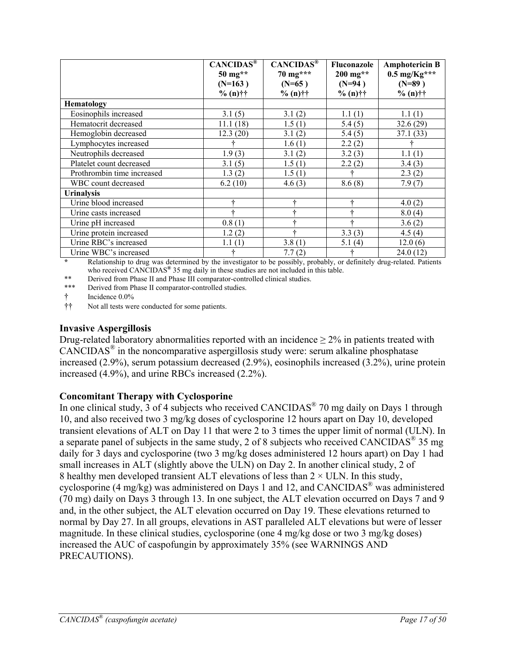|                            | CANCIDAS <sup>®</sup><br>50 mg**<br>$(N=163)$ | CANCIDAS <sup>®</sup><br>70 mg***<br>$(N=65)$ | Fluconazole<br>$200$ mg**<br>$(N=94)$ | <b>Amphotericin B</b><br>$0.5$ mg/Kg***<br>$(N=89)$ |
|----------------------------|-----------------------------------------------|-----------------------------------------------|---------------------------------------|-----------------------------------------------------|
|                            | $% (n)$ ††                                    | $% (n)$ ††                                    | $% (n)$ ††                            | $% (n)$ ††                                          |
| <b>Hematology</b>          |                                               |                                               |                                       |                                                     |
| Eosinophils increased      | 3.1(5)                                        | 3.1(2)                                        | 1.1(1)                                | 1.1(1)                                              |
| Hematocrit decreased       | 11.1(18)                                      | 1.5(1)                                        | 5.4(5)                                | 32.6(29)                                            |
| Hemoglobin decreased       | 12.3(20)                                      | 3.1(2)                                        | 5.4(5)                                | 37.1 (33)                                           |
| Lymphocytes increased      |                                               | 1.6(1)                                        | 2.2(2)                                |                                                     |
| Neutrophils decreased      | 1.9(3)                                        | 3.1(2)                                        | 3.2(3)                                | 1.1(1)                                              |
| Platelet count decreased   | 3.1(5)                                        | 1.5(1)                                        | 2.2(2)                                | 3.4(3)                                              |
| Prothrombin time increased | 1.3(2)                                        | 1.5(1)                                        |                                       | 2.3(2)                                              |
| WBC count decreased        | 6.2(10)                                       | 4.6(3)                                        | 8.6(8)                                | 7.9(7)                                              |
| <b>Urinalysis</b>          |                                               |                                               |                                       |                                                     |
| Urine blood increased      |                                               |                                               |                                       | 4.0(2)                                              |
| Urine casts increased      |                                               | 4                                             | ÷                                     | 8.0(4)                                              |
| Urine pH increased         | 0.8(1)                                        |                                               | ÷                                     | 3.6(2)                                              |
| Urine protein increased    | 1.2(2)                                        |                                               | 3.3(3)                                | 4.5(4)                                              |
| Urine RBC's increased      | 1.1(1)                                        | 3.8(1)                                        | 5.1(4)                                | 12.0(6)                                             |
| Urine WBC's increased      |                                               | 7.7(2)                                        |                                       | 24.0(12)                                            |

**\*** Relationship to drug was determined by the investigator to be possibly, probably, or definitely drug-related. Patients who received CANCIDAS**®** 35 mg daily in these studies are not included in this table.

\*\* Derived from Phase II and Phase III comparator-controlled clinical studies.

\*\*\* Derived from Phase II comparator-controlled studies.

† Incidence 0.0%

†† Not all tests were conducted for some patients.

#### **Invasive Aspergillosis**

Drug-related laboratory abnormalities reported with an incidence  $> 2\%$  in patients treated with CANCIDAS® in the noncomparative aspergillosis study were: serum alkaline phosphatase increased (2.9%), serum potassium decreased (2.9%), eosinophils increased (3.2%), urine protein increased (4.9%), and urine RBCs increased (2.2%).

#### **Concomitant Therapy with Cyclosporine**

In one clinical study, 3 of 4 subjects who received  $CANCIDAS^{\circledR}$  70 mg daily on Days 1 through 10, and also received two 3 mg/kg doses of cyclosporine 12 hours apart on Day 10, developed transient elevations of ALT on Day 11 that were 2 to 3 times the upper limit of normal (ULN). In a separate panel of subjects in the same study, 2 of 8 subjects who received CANCIDAS<sup>®</sup> 35 mg daily for 3 days and cyclosporine (two 3 mg/kg doses administered 12 hours apart) on Day 1 had small increases in ALT (slightly above the ULN) on Day 2. In another clinical study, 2 of 8 healthy men developed transient ALT elevations of less than  $2 \times$  ULN. In this study, cyclosporine (4 mg/kg) was administered on Days 1 and 12, and  $CANCIDAS^{\otimes}$  was administered (70 mg) daily on Days 3 through 13. In one subject, the ALT elevation occurred on Days 7 and 9 and, in the other subject, the ALT elevation occurred on Day 19. These elevations returned to normal by Day 27. In all groups, elevations in AST paralleled ALT elevations but were of lesser magnitude. In these clinical studies, cyclosporine (one 4 mg/kg dose or two 3 mg/kg doses) increased the AUC of caspofungin by approximately 35% (see WARNINGS AND PRECAUTIONS).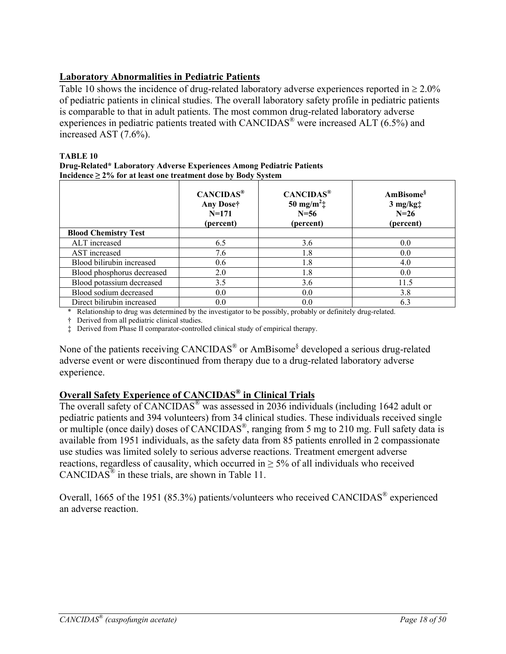# **Laboratory Abnormalities in Pediatric Patients**

Table 10 shows the incidence of drug-related laboratory adverse experiences reported in  $\geq 2.0\%$ of pediatric patients in clinical studies. The overall laboratory safety profile in pediatric patients is comparable to that in adult patients. The most common drug-related laboratory adverse experiences in pediatric patients treated with CANCIDAS® were increased ALT (6.5%) and increased AST (7.6%).

#### **TABLE 10**

| Drug-Related* Laboratory Adverse Experiences Among Pediatric Patients |
|-----------------------------------------------------------------------|
| Incidence $\geq$ 2% for at least one treatment dose by Body System    |

|                             | CANCIDAS <sup>®</sup><br>Any Dose†<br>$N = 171$<br>(percent) | CANCIDAS <sup>®</sup><br>50 mg/m <sup>2</sup> $\ddagger$<br>$N = 56$<br>(percent) | AmBisome <sup>§</sup><br>$3$ mg/kg $\ddagger$<br>$N=26$<br>(percent) |
|-----------------------------|--------------------------------------------------------------|-----------------------------------------------------------------------------------|----------------------------------------------------------------------|
| <b>Blood Chemistry Test</b> |                                                              |                                                                                   |                                                                      |
| ALT increased               | 6.5                                                          | 3.6                                                                               | 0.0                                                                  |
| AST increased               | 7.6                                                          | 1.8                                                                               | 0.0                                                                  |
| Blood bilirubin increased   | 0.6                                                          | 1.8                                                                               | 4.0                                                                  |
| Blood phosphorus decreased  | 2.0                                                          | 1.8                                                                               | 0.0                                                                  |
| Blood potassium decreased   | 3.5                                                          | 3.6                                                                               | 11.5                                                                 |
| Blood sodium decreased      | 0.0                                                          | 0.0                                                                               | 3.8                                                                  |
| Direct bilirubin increased  | 0.0                                                          | 0.0                                                                               | 6.3                                                                  |

\* Relationship to drug was determined by the investigator to be possibly, probably or definitely drug-related.

† Derived from all pediatric clinical studies.

‡ Derived from Phase II comparator-controlled clinical study of empirical therapy.

None of the patients receiving CANCIDAS<sup>®</sup> or AmBisome<sup>§</sup> developed a serious drug-related adverse event or were discontinued from therapy due to a drug-related laboratory adverse experience.

# **Overall Safety Experience of CANCIDAS® in Clinical Trials**

The overall safety of CANCIDAS® was assessed in 2036 individuals (including 1642 adult or pediatric patients and 394 volunteers) from 34 clinical studies. These individuals received single or multiple (once daily) doses of CANCIDAS<sup>®</sup>, ranging from 5 mg to 210 mg. Full safety data is available from 1951 individuals, as the safety data from 85 patients enrolled in 2 compassionate use studies was limited solely to serious adverse reactions. Treatment emergent adverse reactions, regardless of causality, which occurred in  $\geq$  5% of all individuals who received  $CANCIDAS^*$  in these trials, are shown in Table 11.

Overall, 1665 of the 1951 (85.3%) patients/volunteers who received CANCIDAS® experienced an adverse reaction.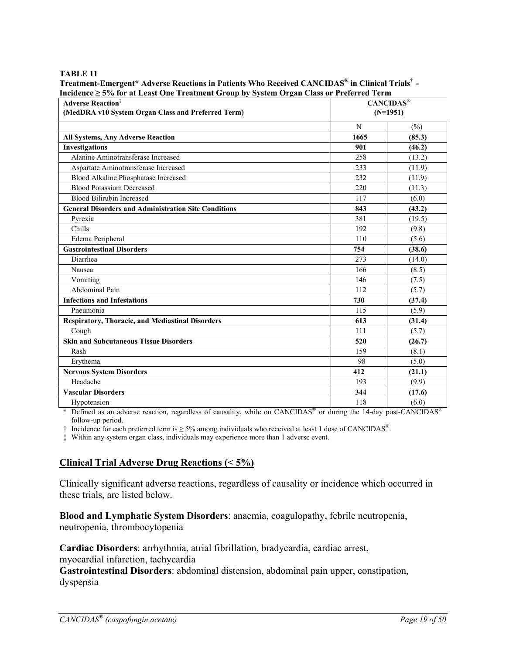#### **TABLE 11**

| Incidence $\geq 5\%$ for at Least One Treatment Group by System Organ Class or Preferred Term |            |              |  |  |
|-----------------------------------------------------------------------------------------------|------------|--------------|--|--|
| <b>Adverse Reaction</b> <sup>‡</sup>                                                          |            | $CANCIDAS^@$ |  |  |
| (MedDRA v10 System Organ Class and Preferred Term)                                            | $(N=1951)$ |              |  |  |
|                                                                                               | N          | $(\%)$       |  |  |
| <b>All Systems, Any Adverse Reaction</b>                                                      | 1665       | (85.3)       |  |  |
| <b>Investigations</b>                                                                         | 901        | (46.2)       |  |  |
| Alanine Aminotransferase Increased                                                            | 258        | (13.2)       |  |  |
| Aspartate Aminotransferase Increased                                                          | 233        | (11.9)       |  |  |
| Blood Alkaline Phosphatase Increased                                                          | 232        | (11.9)       |  |  |
| <b>Blood Potassium Decreased</b>                                                              | 220        | (11.3)       |  |  |
| <b>Blood Bilirubin Increased</b>                                                              | 117        | (6.0)        |  |  |
| <b>General Disorders and Administration Site Conditions</b>                                   | 843        | (43.2)       |  |  |
| Pyrexia                                                                                       | 381        | (19.5)       |  |  |
| Chills                                                                                        | 192        | (9.8)        |  |  |
| Edema Peripheral                                                                              | 110        | (5.6)        |  |  |
| <b>Gastrointestinal Disorders</b>                                                             | 754        | (38.6)       |  |  |
| Diarrhea                                                                                      | 273        | (14.0)       |  |  |
| Nausea                                                                                        | 166        | (8.5)        |  |  |
| Vomiting                                                                                      | 146        | (7.5)        |  |  |
| Abdominal Pain                                                                                | 112        | (5.7)        |  |  |
| <b>Infections and Infestations</b>                                                            | 730        | (37.4)       |  |  |
| Pneumonia                                                                                     | 115        | (5.9)        |  |  |
| <b>Respiratory, Thoracic, and Mediastinal Disorders</b>                                       | 613        | (31.4)       |  |  |
| Cough                                                                                         | 111        | (5.7)        |  |  |
| <b>Skin and Subcutaneous Tissue Disorders</b>                                                 | 520        | (26.7)       |  |  |
| Rash                                                                                          | 159        | (8.1)        |  |  |
| Erythema                                                                                      | 98         | (5.0)        |  |  |
| <b>Nervous System Disorders</b>                                                               | 412        | (21.1)       |  |  |
| Headache                                                                                      | 193        | (9.9)        |  |  |
| <b>Vascular Disorders</b>                                                                     | 344        | (17.6)       |  |  |
| Hypotension                                                                                   | 118        | (6.0)        |  |  |

**Treatment-Emergent\* Adverse Reactions in Patients Who Received CANCIDAS® in Clinical Trials† -** 

\* Defined as an adverse reaction, regardless of causality, while on  $CANCIDAS^{\circledast}$  or during the 14-day post-CANCIDAS<sup>®</sup> follow-up period.

 $\dagger$  Incidence for each preferred term is  $\geq$  5% among individuals who received at least 1 dose of CANCIDAS<sup>®</sup>.

‡ Within any system organ class, individuals may experience more than 1 adverse event.

# **Clinical Trial Adverse Drug Reactions (< 5%)**

Clinically significant adverse reactions, regardless of causality or incidence which occurred in these trials, are listed below.

**Blood and Lymphatic System Disorders**: anaemia, coagulopathy, febrile neutropenia, neutropenia, thrombocytopenia

**Cardiac Disorders**: arrhythmia, atrial fibrillation, bradycardia, cardiac arrest, myocardial infarction, tachycardia

**Gastrointestinal Disorders**: abdominal distension, abdominal pain upper, constipation, dyspepsia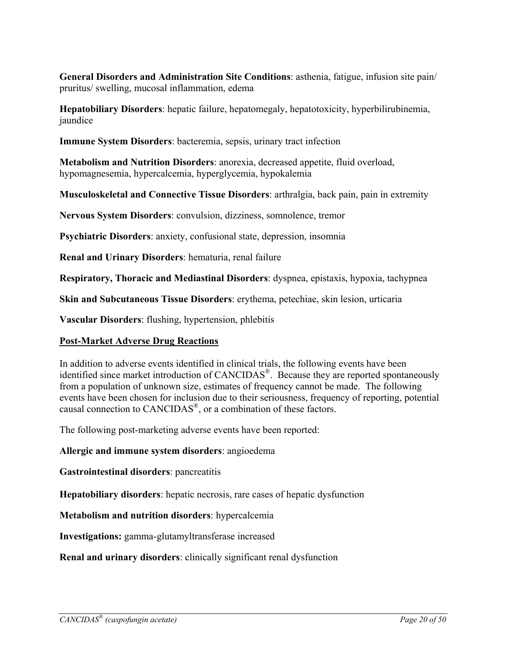**General Disorders and Administration Site Conditions**: asthenia, fatigue, infusion site pain/ pruritus/ swelling, mucosal inflammation, edema

**Hepatobiliary Disorders**: hepatic failure, hepatomegaly, hepatotoxicity, hyperbilirubinemia, jaundice

**Immune System Disorders**: bacteremia, sepsis, urinary tract infection

**Metabolism and Nutrition Disorders**: anorexia, decreased appetite, fluid overload, hypomagnesemia, hypercalcemia, hyperglycemia, hypokalemia

**Musculoskeletal and Connective Tissue Disorders**: arthralgia, back pain, pain in extremity

**Nervous System Disorders**: convulsion, dizziness, somnolence, tremor

**Psychiatric Disorders**: anxiety, confusional state, depression, insomnia

**Renal and Urinary Disorders**: hematuria, renal failure

**Respiratory, Thoracic and Mediastinal Disorders**: dyspnea, epistaxis, hypoxia, tachypnea

**Skin and Subcutaneous Tissue Disorders**: erythema, petechiae, skin lesion, urticaria

**Vascular Disorders**: flushing, hypertension, phlebitis

### **Post-Market Adverse Drug Reactions**

In addition to adverse events identified in clinical trials, the following events have been identified since market introduction of CANCIDAS®. Because they are reported spontaneously from a population of unknown size, estimates of frequency cannot be made. The following events have been chosen for inclusion due to their seriousness, frequency of reporting, potential causal connection to CANCIDAS®, or a combination of these factors.

The following post-marketing adverse events have been reported:

### **Allergic and immune system disorders**: angioedema

**Gastrointestinal disorders**: pancreatitis

**Hepatobiliary disorders**: hepatic necrosis, rare cases of hepatic dysfunction

**Metabolism and nutrition disorders**: hypercalcemia

**Investigations:** gamma-glutamyltransferase increased

**Renal and urinary disorders**: clinically significant renal dysfunction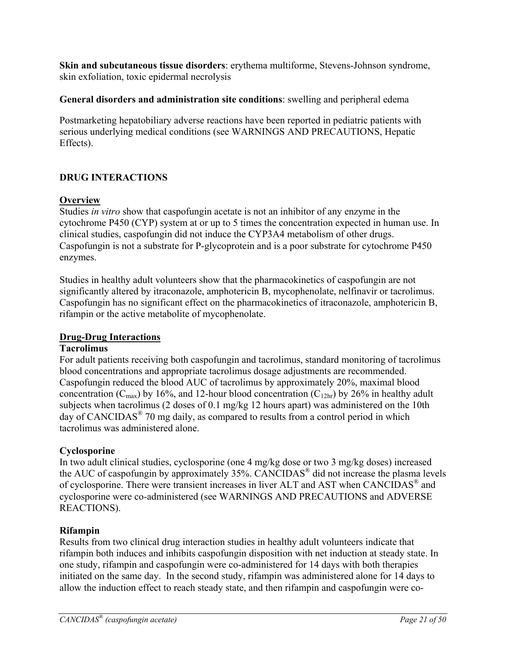**Skin and subcutaneous tissue disorders**: erythema multiforme, Stevens-Johnson syndrome, skin exfoliation, toxic epidermal necrolysis

### **General disorders and administration site conditions**: swelling and peripheral edema

Postmarketing hepatobiliary adverse reactions have been reported in pediatric patients with serious underlying medical conditions (see WARNINGS AND PRECAUTIONS, Hepatic Effects).

# **DRUG INTERACTIONS**

### **Overview**

Studies *in vitro* show that caspofungin acetate is not an inhibitor of any enzyme in the cytochrome P450 (CYP) system at or up to 5 times the concentration expected in human use. In clinical studies, caspofungin did not induce the CYP3A4 metabolism of other drugs. Caspofungin is not a substrate for P-glycoprotein and is a poor substrate for cytochrome P450 enzymes.

Studies in healthy adult volunteers show that the pharmacokinetics of caspofungin are not significantly altered by itraconazole, amphotericin B, mycophenolate, nelfinavir or tacrolimus. Caspofungin has no significant effect on the pharmacokinetics of itraconazole, amphotericin B, rifampin or the active metabolite of mycophenolate.

### **Drug-Drug Interactions**

### **Tacrolimus**

For adult patients receiving both caspofungin and tacrolimus, standard monitoring of tacrolimus blood concentrations and appropriate tacrolimus dosage adjustments are recommended. Caspofungin reduced the blood AUC of tacrolimus by approximately 20%, maximal blood concentration ( $C_{\text{max}}$ ) by 16%, and 12-hour blood concentration ( $C_{12hr}$ ) by 26% in healthy adult subjects when tacrolimus (2 doses of 0.1 mg/kg 12 hours apart) was administered on the 10th day of CANCIDAS® 70 mg daily, as compared to results from a control period in which tacrolimus was administered alone.

# **Cyclosporine**

In two adult clinical studies, cyclosporine (one 4 mg/kg dose or two 3 mg/kg doses) increased the AUC of caspofungin by approximately 35%. CANCIDAS® did not increase the plasma levels of cyclosporine. There were transient increases in liver ALT and AST when CANCIDAS® and cyclosporine were co-administered (see WARNINGS AND PRECAUTIONS and ADVERSE REACTIONS).

# **Rifampin**

Results from two clinical drug interaction studies in healthy adult volunteers indicate that rifampin both induces and inhibits caspofungin disposition with net induction at steady state. In one study, rifampin and caspofungin were co-administered for 14 days with both therapies initiated on the same day. In the second study, rifampin was administered alone for 14 days to allow the induction effect to reach steady state, and then rifampin and caspofungin were co-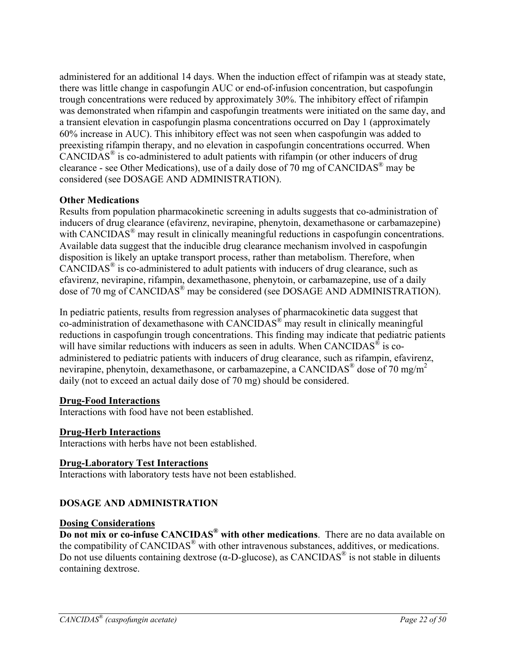administered for an additional 14 days. When the induction effect of rifampin was at steady state, there was little change in caspofungin AUC or end-of-infusion concentration, but caspofungin trough concentrations were reduced by approximately 30%. The inhibitory effect of rifampin was demonstrated when rifampin and caspofungin treatments were initiated on the same day, and a transient elevation in caspofungin plasma concentrations occurred on Day 1 (approximately 60% increase in AUC). This inhibitory effect was not seen when caspofungin was added to preexisting rifampin therapy, and no elevation in caspofungin concentrations occurred. When  $CANCIDAS<sup>®</sup>$  is co-administered to adult patients with rifampin (or other inducers of drug clearance - see Other Medications), use of a daily dose of 70 mg of CANCIDAS® may be considered (see DOSAGE AND ADMINISTRATION).

### **Other Medications**

Results from population pharmacokinetic screening in adults suggests that co-administration of inducers of drug clearance (efavirenz, nevirapine, phenytoin, dexamethasone or carbamazepine) with CANCIDAS<sup>®</sup> may result in clinically meaningful reductions in caspofungin concentrations. Available data suggest that the inducible drug clearance mechanism involved in caspofungin disposition is likely an uptake transport process, rather than metabolism. Therefore, when CANCIDAS® is co-administered to adult patients with inducers of drug clearance, such as efavirenz, nevirapine, rifampin, dexamethasone, phenytoin, or carbamazepine, use of a daily dose of 70 mg of CANCIDAS<sup>®</sup> may be considered (see DOSAGE AND ADMINISTRATION).

In pediatric patients, results from regression analyses of pharmacokinetic data suggest that co-administration of dexamethasone with CANCIDAS® may result in clinically meaningful reductions in caspofungin trough concentrations. This finding may indicate that pediatric patients will have similar reductions with inducers as seen in adults. When  $CANCIDAS^{\circledast}$  is coadministered to pediatric patients with inducers of drug clearance, such as rifampin, efavirenz, nevirapine, phenytoin, dexamethasone, or carbamazepine, a CANCIDAS<sup>®</sup> dose of 70 mg/m<sup>2</sup> daily (not to exceed an actual daily dose of 70 mg) should be considered.

### **Drug-Food Interactions**

Interactions with food have not been established.

### **Drug-Herb Interactions**

Interactions with herbs have not been established.

#### **Drug-Laboratory Test Interactions**

Interactions with laboratory tests have not been established.

### **DOSAGE AND ADMINISTRATION**

#### **Dosing Considerations**

**Do not mix or co-infuse CANCIDAS® with other medications**. There are no data available on the compatibility of CANCIDAS® with other intravenous substances, additives, or medications. Do not use diluents containing dextrose ( $α$ -D-glucose), as CANCIDAS<sup>®</sup> is not stable in diluents containing dextrose.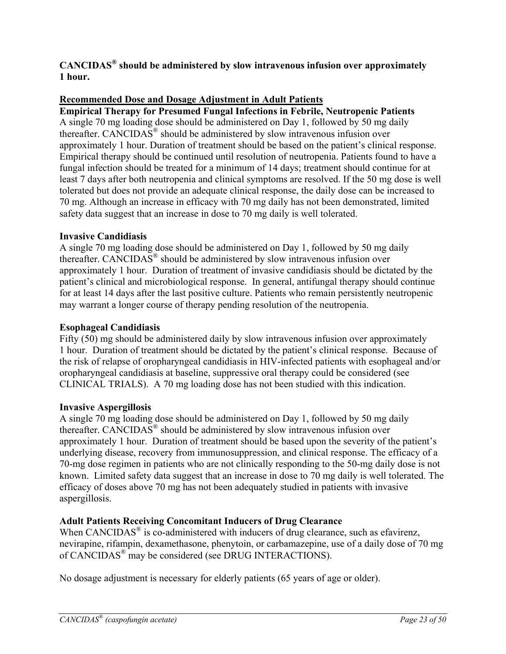**CANCIDAS® should be administered by slow intravenous infusion over approximately 1 hour.** 

### **Recommended Dose and Dosage Adjustment in Adult Patients**

**Empirical Therapy for Presumed Fungal Infections in Febrile, Neutropenic Patients** A single 70 mg loading dose should be administered on Day 1, followed by 50 mg daily thereafter. CANCIDAS® should be administered by slow intravenous infusion over approximately 1 hour. Duration of treatment should be based on the patient's clinical response. Empirical therapy should be continued until resolution of neutropenia. Patients found to have a fungal infection should be treated for a minimum of 14 days; treatment should continue for at least 7 days after both neutropenia and clinical symptoms are resolved. If the 50 mg dose is well tolerated but does not provide an adequate clinical response, the daily dose can be increased to 70 mg. Although an increase in efficacy with 70 mg daily has not been demonstrated, limited safety data suggest that an increase in dose to 70 mg daily is well tolerated.

### **Invasive Candidiasis**

A single 70 mg loading dose should be administered on Day 1, followed by 50 mg daily thereafter. CANCIDAS<sup>®</sup> should be administered by slow intravenous infusion over approximately 1 hour. Duration of treatment of invasive candidiasis should be dictated by the patient's clinical and microbiological response. In general, antifungal therapy should continue for at least 14 days after the last positive culture. Patients who remain persistently neutropenic may warrant a longer course of therapy pending resolution of the neutropenia.

#### **Esophageal Candidiasis**

Fifty (50) mg should be administered daily by slow intravenous infusion over approximately 1 hour. Duration of treatment should be dictated by the patient's clinical response. Because of the risk of relapse of oropharyngeal candidiasis in HIV-infected patients with esophageal and/or oropharyngeal candidiasis at baseline, suppressive oral therapy could be considered (see CLINICAL TRIALS). A 70 mg loading dose has not been studied with this indication.

#### **Invasive Aspergillosis**

A single 70 mg loading dose should be administered on Day 1, followed by 50 mg daily thereafter. CANCIDAS<sup>®</sup> should be administered by slow intravenous infusion over approximately 1 hour. Duration of treatment should be based upon the severity of the patient's underlying disease, recovery from immunosuppression, and clinical response. The efficacy of a 70-mg dose regimen in patients who are not clinically responding to the 50-mg daily dose is not known. Limited safety data suggest that an increase in dose to 70 mg daily is well tolerated. The efficacy of doses above 70 mg has not been adequately studied in patients with invasive aspergillosis.

### **Adult Patients Receiving Concomitant Inducers of Drug Clearance**

When CANCIDAS<sup>®</sup> is co-administered with inducers of drug clearance, such as efavirenz, nevirapine, rifampin, dexamethasone, phenytoin, or carbamazepine, use of a daily dose of 70 mg of CANCIDAS® may be considered (see DRUG INTERACTIONS).

No dosage adjustment is necessary for elderly patients (65 years of age or older).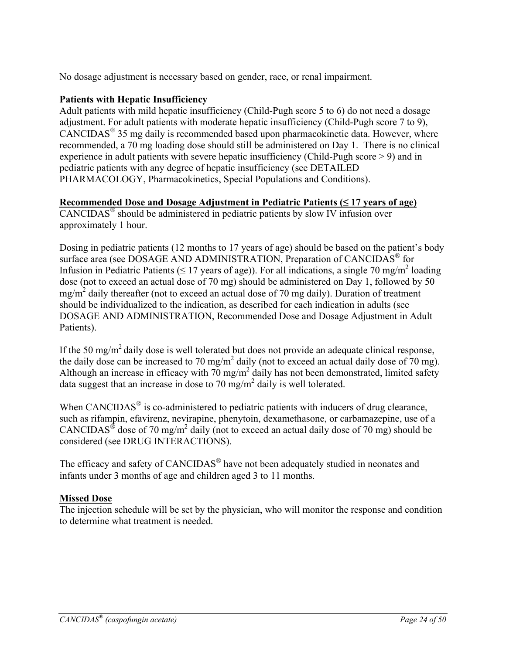No dosage adjustment is necessary based on gender, race, or renal impairment.

### **Patients with Hepatic Insufficiency**

Adult patients with mild hepatic insufficiency (Child-Pugh score 5 to 6) do not need a dosage adjustment. For adult patients with moderate hepatic insufficiency (Child-Pugh score 7 to 9), CANCIDAS® 35 mg daily is recommended based upon pharmacokinetic data. However, where recommended, a 70 mg loading dose should still be administered on Day 1. There is no clinical experience in adult patients with severe hepatic insufficiency (Child-Pugh score > 9) and in pediatric patients with any degree of hepatic insufficiency (see DETAILED PHARMACOLOGY, Pharmacokinetics, Special Populations and Conditions).

### **Recommended Dose and Dosage Adjustment in Pediatric Patients (≤ 17 years of age)**

 $CANCIDAS<sup>®</sup>$  should be administered in pediatric patients by slow IV infusion over approximately 1 hour.

Dosing in pediatric patients (12 months to 17 years of age) should be based on the patient's body surface area (see DOSAGE AND ADMINISTRATION, Preparation of CANCIDAS<sup>®</sup> for Infusion in Pediatric Patients ( $\leq$  17 years of age)). For all indications, a single 70 mg/m<sup>2</sup> loading dose (not to exceed an actual dose of 70 mg) should be administered on Day 1, followed by 50 mg/m<sup>2</sup> daily thereafter (not to exceed an actual dose of 70 mg daily). Duration of treatment should be individualized to the indication, as described for each indication in adults (see DOSAGE AND ADMINISTRATION, Recommended Dose and Dosage Adjustment in Adult Patients).

If the 50 mg/m<sup>2</sup> daily dose is well tolerated but does not provide an adequate clinical response, the daily dose can be increased to 70 mg/m<sup>2</sup> daily (not to exceed an actual daily dose of 70 mg). Although an increase in efficacy with  $70 \text{ mg/m}^2$  daily has not been demonstrated, limited safety data suggest that an increase in dose to 70 mg/m<sup>2</sup> daily is well tolerated.

When  $CANCIDAS^{\circledast}$  is co-administered to pediatric patients with inducers of drug clearance, such as rifampin, efavirenz, nevirapine, phenytoin, dexamethasone, or carbamazepine, use of a CANCIDAS<sup>®</sup> dose of 70 mg/m<sup>2</sup> daily (not to exceed an actual daily dose of 70 mg) should be considered (see DRUG INTERACTIONS).

The efficacy and safety of CANCIDAS<sup>®</sup> have not been adequately studied in neonates and infants under 3 months of age and children aged 3 to 11 months.

### **Missed Dose**

The injection schedule will be set by the physician, who will monitor the response and condition to determine what treatment is needed.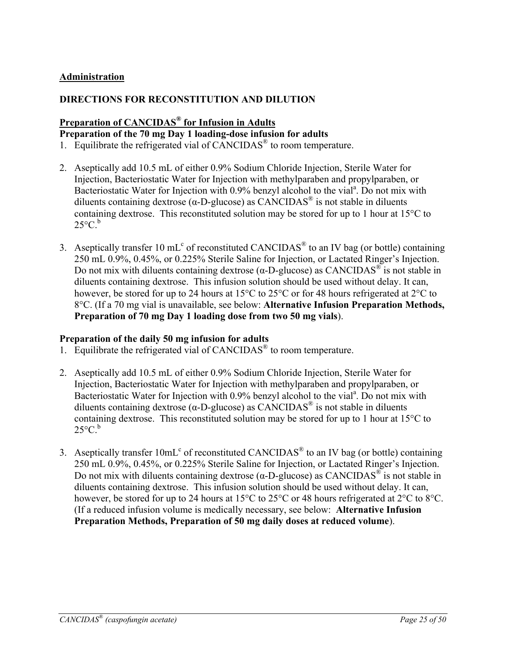### **Administration**

### **DIRECTIONS FOR RECONSTITUTION AND DILUTION**

# **Preparation of CANCIDAS® for Infusion in Adults**

# **Preparation of the 70 mg Day 1 loading-dose infusion for adults**

- 1. Equilibrate the refrigerated vial of CANCIDAS® to room temperature.
- 2. Aseptically add 10.5 mL of either 0.9% Sodium Chloride Injection, Sterile Water for Injection, Bacteriostatic Water for Injection with methylparaben and propylparaben, or Bacteriostatic Water for Injection with 0.9% benzyl alcohol to the vial<sup>a</sup>. Do not mix with diluents containing dextrose ( $\alpha$ -D-glucose) as CANCIDAS<sup>®</sup> is not stable in diluents containing dextrose. This reconstituted solution may be stored for up to 1 hour at 15°C to  $25^{\circ}$ C.<sup>b</sup>
- 3. Aseptically transfer 10 mL<sup>c</sup> of reconstituted CANCIDAS<sup>®</sup> to an IV bag (or bottle) containing 250 mL 0.9%, 0.45%, or 0.225% Sterile Saline for Injection, or Lactated Ringer's Injection. Do not mix with diluents containing dextrose (α-D-glucose) as CANCIDAS<sup>®</sup> is not stable in diluents containing dextrose. This infusion solution should be used without delay. It can, however, be stored for up to 24 hours at 15<sup>o</sup>C to 25<sup>o</sup>C or for 48 hours refrigerated at 2<sup>o</sup>C to 8°C. (If a 70 mg vial is unavailable, see below: **Alternative Infusion Preparation Methods, Preparation of 70 mg Day 1 loading dose from two 50 mg vials**).

### **Preparation of the daily 50 mg infusion for adults**

- 1. Equilibrate the refrigerated vial of CANCIDAS® to room temperature.
- 2. Aseptically add 10.5 mL of either 0.9% Sodium Chloride Injection, Sterile Water for Injection, Bacteriostatic Water for Injection with methylparaben and propylparaben, or Bacteriostatic Water for Injection with 0.9% benzyl alcohol to the vial<sup>a</sup>. Do not mix with diluents containing dextrose ( $\alpha$ -D-glucose) as CANCIDAS<sup>®</sup> is not stable in diluents containing dextrose. This reconstituted solution may be stored for up to 1 hour at 15°C to  $25^{\circ}$ C.<sup>b</sup>
- 3. Aseptically transfer  $10 \text{mL}^c$  of reconstituted CANCIDAS<sup>®</sup> to an IV bag (or bottle) containing 250 mL 0.9%, 0.45%, or 0.225% Sterile Saline for Injection, or Lactated Ringer's Injection. Do not mix with diluents containing dextrose (α-D-glucose) as CANCIDAS<sup>®</sup> is not stable in diluents containing dextrose. This infusion solution should be used without delay. It can, however, be stored for up to 24 hours at 15<sup>o</sup>C to 25<sup>o</sup>C or 48 hours refrigerated at 2<sup>o</sup>C to 8<sup>o</sup>C. (If a reduced infusion volume is medically necessary, see below: **Alternative Infusion Preparation Methods, Preparation of 50 mg daily doses at reduced volume**).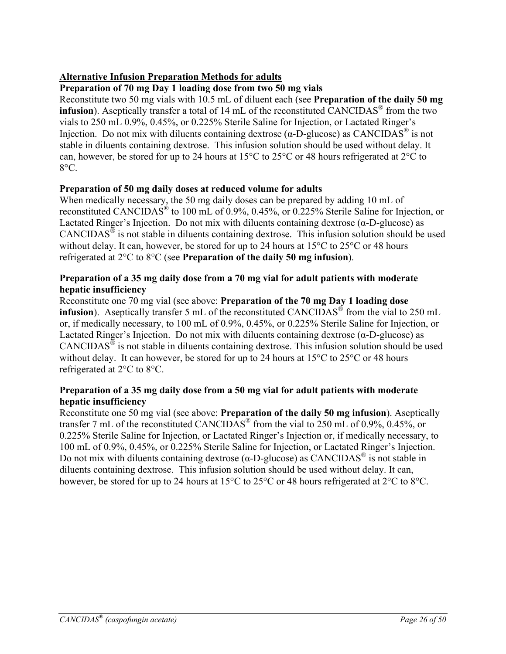# **Alternative Infusion Preparation Methods for adults**

### **Preparation of 70 mg Day 1 loading dose from two 50 mg vials**

Reconstitute two 50 mg vials with 10.5 mL of diluent each (see **Preparation of the daily 50 mg infusion**). Aseptically transfer a total of 14 mL of the reconstituted CANCIDAS<sup>®</sup> from the two vials to 250 mL 0.9%, 0.45%, or 0.225% Sterile Saline for Injection, or Lactated Ringer's Injection. Do not mix with diluents containing dextrose (α-D-glucose) as CANCIDAS<sup>®</sup> is not stable in diluents containing dextrose. This infusion solution should be used without delay. It can, however, be stored for up to 24 hours at 15°C to 25°C or 48 hours refrigerated at 2°C to  $8^{\circ}$ C.

### **Preparation of 50 mg daily doses at reduced volume for adults**

When medically necessary, the 50 mg daily doses can be prepared by adding 10 mL of reconstituted CANCIDAS® to 100 mL of 0.9%, 0.45%, or 0.225% Sterile Saline for Injection, or Lactated Ringer's Injection. Do not mix with diluents containing dextrose  $(\alpha$ -D-glucose) as CANCIDAS® is not stable in diluents containing dextrose. This infusion solution should be used without delay. It can, however, be stored for up to 24 hours at 15<sup>o</sup>C to 25<sup>o</sup>C or 48 hours refrigerated at 2°C to 8°C (see **Preparation of the daily 50 mg infusion**).

### **Preparation of a 35 mg daily dose from a 70 mg vial for adult patients with moderate hepatic insufficiency**

Reconstitute one 70 mg vial (see above: **Preparation of the 70 mg Day 1 loading dose infusion**). Aseptically transfer 5 mL of the reconstituted CANCIDAS<sup>®</sup> from the vial to 250 mL or, if medically necessary, to 100 mL of 0.9%, 0.45%, or 0.225% Sterile Saline for Injection, or Lactated Ringer's Injection. Do not mix with diluents containing dextrose  $(\alpha$ -D-glucose) as  $CANCIDAS<sup>®</sup>$  is not stable in diluents containing dextrose. This infusion solution should be used without delay. It can however, be stored for up to 24 hours at 15<sup>o</sup>C to 25<sup>o</sup>C or 48 hours refrigerated at 2°C to 8°C.

### **Preparation of a 35 mg daily dose from a 50 mg vial for adult patients with moderate hepatic insufficiency**

Reconstitute one 50 mg vial (see above: **Preparation of the daily 50 mg infusion**). Aseptically transfer 7 mL of the reconstituted CANCIDAS<sup>®</sup> from the vial to 250 mL of 0.9%, 0.45%, or 0.225% Sterile Saline for Injection, or Lactated Ringer's Injection or, if medically necessary, to 100 mL of 0.9%, 0.45%, or 0.225% Sterile Saline for Injection, or Lactated Ringer's Injection. Do not mix with diluents containing dextrose (α-D-glucose) as CANCIDAS<sup>®</sup> is not stable in diluents containing dextrose. This infusion solution should be used without delay. It can, however, be stored for up to 24 hours at 15<sup>o</sup>C to 25<sup>o</sup>C or 48 hours refrigerated at 2<sup>o</sup>C to 8<sup>o</sup>C.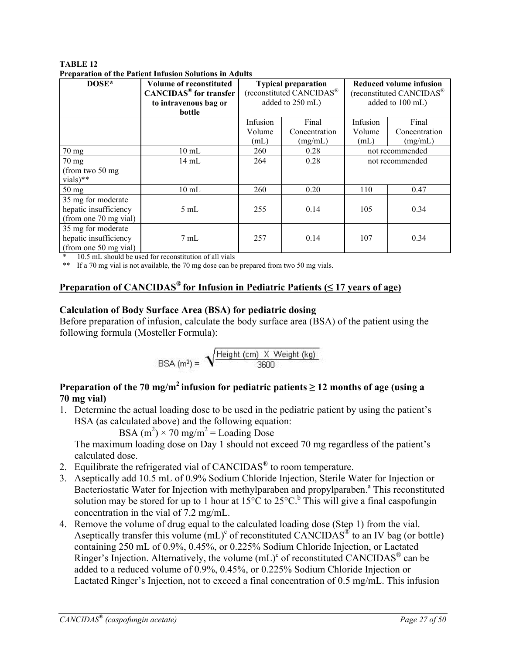| TABLE 12                                                       |  |
|----------------------------------------------------------------|--|
| <b>Preparation of the Patient Infusion Solutions in Adults</b> |  |

|                       | і гераганон от ене і анене інгизіон ботинонз ін теацію |                            |                          |          |                                      |  |
|-----------------------|--------------------------------------------------------|----------------------------|--------------------------|----------|--------------------------------------|--|
| DOSE*                 | <b>Volume of reconstituted</b>                         | <b>Typical preparation</b> |                          |          | Reduced volume infusion              |  |
|                       | <b>CANCIDAS<sup>®</sup></b> for transfer               |                            | (reconstituted CANCIDAS® |          | (reconstituted CANCIDAS <sup>®</sup> |  |
|                       | to intravenous bag or                                  |                            | added to 250 mL)         |          | added to 100 mL)                     |  |
|                       | bottle                                                 |                            |                          |          |                                      |  |
|                       |                                                        | Infusion                   | Final                    | Infusion | Final                                |  |
|                       |                                                        | Volume                     | Concentration            | Volume   | Concentration                        |  |
|                       |                                                        | (mL)                       | (mg/mL)                  | (mL)     | (mg/mL)                              |  |
| $70 \text{ mg}$       | $10 \text{ mL}$                                        | 260                        | 0.28                     |          | not recommended                      |  |
| $70 \text{ mg}$       | 14 mL                                                  | 264                        | 0.28                     |          | not recommended                      |  |
| (from two 50 mg       |                                                        |                            |                          |          |                                      |  |
| vials)**              |                                                        |                            |                          |          |                                      |  |
| 50 mg                 | $10 \text{ mL}$                                        | 260                        | 0.20                     | 110      | 0.47                                 |  |
| 35 mg for moderate    |                                                        |                            |                          |          |                                      |  |
| hepatic insufficiency | $5 \text{ mL}$                                         | 255                        | 0.14                     | 105      | 0.34                                 |  |
| (from one 70 mg vial) |                                                        |                            |                          |          |                                      |  |
| 35 mg for moderate    |                                                        |                            |                          |          |                                      |  |
| hepatic insufficiency | $7 \text{ mL}$                                         | 257                        | 0.14                     | 107      | 0.34                                 |  |
| (from one 50 mg vial) |                                                        |                            |                          |          |                                      |  |

10.5 mL should be used for reconstitution of all vials

\*\* If a 70 mg vial is not available, the 70 mg dose can be prepared from two 50 mg vials.

### **Preparation of CANCIDAS® for Infusion in Pediatric Patients (≤ 17 years of age)**

#### **Calculation of Body Surface Area (BSA) for pediatric dosing**

Before preparation of infusion, calculate the body surface area (BSA) of the patient using the following formula (Mosteller Formula):

$$
BSA (m2) = \sqrt{\frac{Height (cm) \times Weight (kg)}{3600}}
$$

# **Preparation of the 70 mg/m<sup>2</sup> infusion for pediatric patients**  $\geq$  **12 months of age (using a 70 mg vial)**

1. Determine the actual loading dose to be used in the pediatric patient by using the patient's BSA (as calculated above) and the following equation:

BSA  $(m^2) \times 70$  mg/m<sup>2</sup> = Loading Dose

The maximum loading dose on Day 1 should not exceed 70 mg regardless of the patient's calculated dose.

- 2. Equilibrate the refrigerated vial of CANCIDAS<sup>®</sup> to room temperature.
- 3. Aseptically add 10.5 mL of 0.9% Sodium Chloride Injection, Sterile Water for Injection or Bacteriostatic Water for Injection with methylparaben and propylparaben.<sup>a</sup> This reconstituted solution may be stored for up to 1 hour at  $15^{\circ}$ C to  $25^{\circ}$ C.<sup>b</sup> This will give a final caspofungin concentration in the vial of 7.2 mg/mL.
- 4. Remove the volume of drug equal to the calculated loading dose (Step 1) from the vial. Aseptically transfer this volume  $(mL)^c$  of reconstituted CANCIDAS<sup>®</sup> to an IV bag (or bottle) containing 250 mL of 0.9%, 0.45%, or 0.225% Sodium Chloride Injection, or Lactated Ringer's Injection. Alternatively, the volume  $(mL)^c$  of reconstituted CANCIDAS<sup>®</sup> can be added to a reduced volume of 0.9%, 0.45%, or 0.225% Sodium Chloride Injection or Lactated Ringer's Injection, not to exceed a final concentration of 0.5 mg/mL. This infusion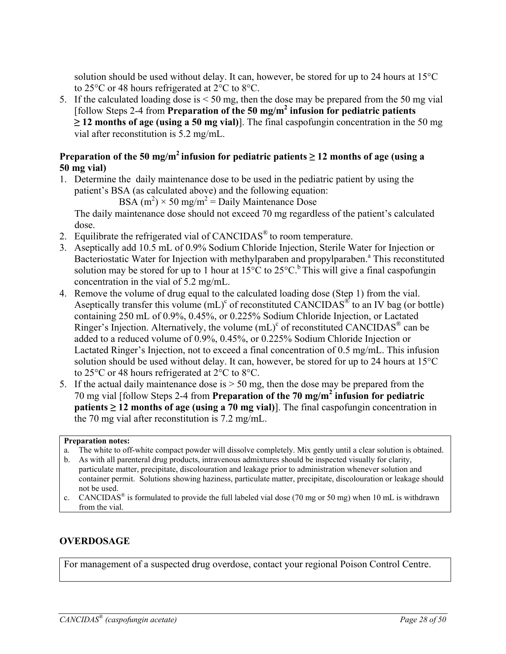solution should be used without delay. It can, however, be stored for up to 24 hours at 15°C to 25°C or 48 hours refrigerated at 2°C to 8°C.

5. If the calculated loading dose is < 50 mg, then the dose may be prepared from the 50 mg vial [follow Steps 2-4 from **Preparation of the 50 mg/m<sup>2</sup> infusion for pediatric patients ≥ 12 months of age (using a 50 mg vial)**]. The final caspofungin concentration in the 50 mg vial after reconstitution is 5.2 mg/mL.

# **Preparation of the 50 mg/m<sup>2</sup> infusion for pediatric patients**  $\geq$  **12 months of age (using a 50 mg vial)**

1. Determine the daily maintenance dose to be used in the pediatric patient by using the patient's BSA (as calculated above) and the following equation:

 $BSA (m^2) \times 50$  mg/m<sup>2</sup> = Daily Maintenance Dose

The daily maintenance dose should not exceed 70 mg regardless of the patient's calculated dose.

- 2. Equilibrate the refrigerated vial of CANCIDAS® to room temperature.
- 3. Aseptically add 10.5 mL of 0.9% Sodium Chloride Injection, Sterile Water for Injection or Bacteriostatic Water for Injection with methylparaben and propylparaben.<sup>a</sup> This reconstituted solution may be stored for up to 1 hour at  $15^{\circ}$ C to  $25^{\circ}$ C.<sup>b</sup> This will give a final caspofungin concentration in the vial of 5.2 mg/mL.
- 4. Remove the volume of drug equal to the calculated loading dose (Step 1) from the vial. Aseptically transfer this volume  $(mL)^c$  of reconstituted CANCIDAS<sup>®</sup> to an IV bag (or bottle) containing 250 mL of 0.9%, 0.45%, or 0.225% Sodium Chloride Injection, or Lactated Ringer's Injection. Alternatively, the volume  $(mL)^c$  of reconstituted CANCIDAS<sup>®</sup> can be added to a reduced volume of 0.9%, 0.45%, or 0.225% Sodium Chloride Injection or Lactated Ringer's Injection, not to exceed a final concentration of 0.5 mg/mL. This infusion solution should be used without delay. It can, however, be stored for up to 24 hours at 15°C to 25°C or 48 hours refrigerated at 2°C to 8°C.
- 5. If the actual daily maintenance dose is > 50 mg, then the dose may be prepared from the 70 mg vial [follow Steps 2-4 from **Preparation of the 70 mg/m<sup>2</sup> infusion for pediatric patients**  $\geq$  **12 months of age (using a 70 mg vial)]. The final caspofungin concentration in** the 70 mg vial after reconstitution is 7.2 mg/mL.

#### **Preparation notes:**

- a. The white to off-white compact powder will dissolve completely. Mix gently until a clear solution is obtained.
- b. As with all parenteral drug products, intravenous admixtures should be inspected visually for clarity, particulate matter, precipitate, discolouration and leakage prior to administration whenever solution and container permit. Solutions showing haziness, particulate matter, precipitate, discolouration or leakage should not be used.
- c. CANCIDAS<sup>®</sup> is formulated to provide the full labeled vial dose (70 mg or 50 mg) when 10 mL is withdrawn from the vial.

# **OVERDOSAGE**

For management of a suspected drug overdose, contact your regional Poison Control Centre.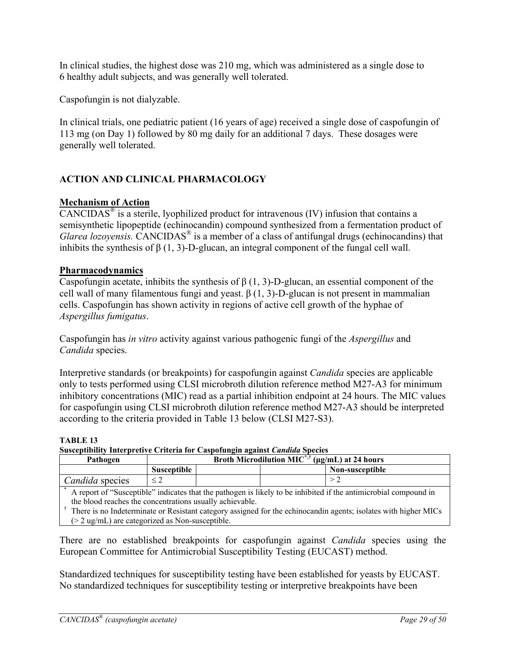In clinical studies, the highest dose was 210 mg, which was administered as a single dose to 6 healthy adult subjects, and was generally well tolerated.

Caspofungin is not dialyzable.

In clinical trials, one pediatric patient (16 years of age) received a single dose of caspofungin of 113 mg (on Day 1) followed by 80 mg daily for an additional 7 days. These dosages were generally well tolerated.

# **ACTION AND CLINICAL PHARMACOLOGY**

### **Mechanism of Action**

CANCIDAS<sup>®</sup> is a sterile, lyophilized product for intravenous (IV) infusion that contains a semisynthetic lipopeptide (echinocandin) compound synthesized from a fermentation product of *Glarea lozoyensis.* CANCIDAS<sup>®</sup> is a member of a class of antifungal drugs (echinocandins) that inhibits the synthesis of  $\beta$  (1, 3)-D-glucan, an integral component of the fungal cell wall.

### **Pharmacodynamics**

Caspofungin acetate, inhibits the synthesis of  $\beta$  (1, 3)-D-glucan, an essential component of the cell wall of many filamentous fungi and yeast.  $β(1, 3)$ -D-glucan is not present in mammalian cells. Caspofungin has shown activity in regions of active cell growth of the hyphae of *Aspergillus fumigatus*.

Caspofungin has *in vitro* activity against various pathogenic fungi of the *Aspergillus* and *Candida* species.

Interpretive standards (or breakpoints) for caspofungin against *Candida* species are applicable only to tests performed using CLSI microbroth dilution reference method M27-A3 for minimum inhibitory concentrations (MIC) read as a partial inhibition endpoint at 24 hours. The MIC values for caspofungin using CLSI microbroth dilution reference method M27-A3 should be interpreted according to the criteria provided in Table 13 below (CLSI M27-S3).

**TABLE 13** 

**Susceptibility Interpretive Criteria for Caspofungin against** *Candida* **Species** 

| Pathogen                                                                                                         | <b>Broth Microdilution MIC</b> <sup>*,†</sup> ( $\mu$ g/mL) at 24 hours |  |  |                 |
|------------------------------------------------------------------------------------------------------------------|-------------------------------------------------------------------------|--|--|-----------------|
|                                                                                                                  | Susceptible                                                             |  |  | Non-susceptible |
| Candida species                                                                                                  | $\leq$ 2                                                                |  |  | > 2             |
| A report of "Susceptible" indicates that the pathogen is likely to be inhibited if the antimicrobial compound in |                                                                         |  |  |                 |
| the blood reaches the concentrations usually achievable.                                                         |                                                                         |  |  |                 |
| There is no Indeterminate or Resistant category assigned for the echinocandin agents; isolates with higher MICs  |                                                                         |  |  |                 |
| $(> 2 \text{ ug/ml})$ are categorized as Non-susceptible.                                                        |                                                                         |  |  |                 |

There are no established breakpoints for caspofungin against *Candida* species using the European Committee for Antimicrobial Susceptibility Testing (EUCAST) method.

Standardized techniques for susceptibility testing have been established for yeasts by EUCAST. No standardized techniques for susceptibility testing or interpretive breakpoints have been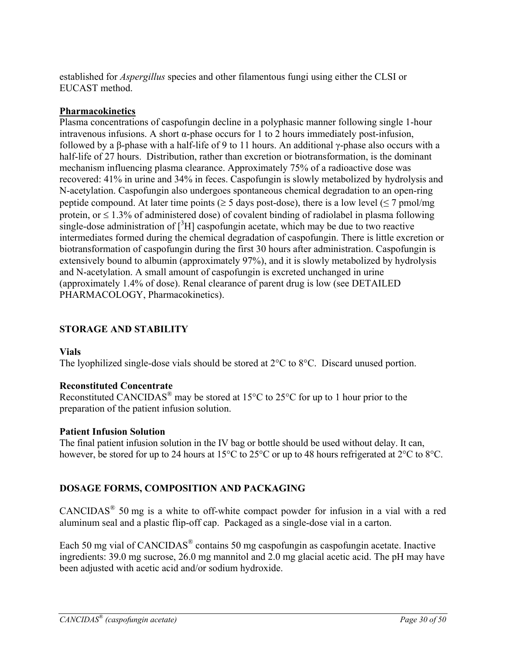established for *Aspergillus* species and other filamentous fungi using either the CLSI or EUCAST method.

# **Pharmacokinetics**

Plasma concentrations of caspofungin decline in a polyphasic manner following single 1-hour intravenous infusions. A short  $\alpha$ -phase occurs for 1 to 2 hours immediately post-infusion, followed by a β-phase with a half-life of 9 to 11 hours. An additional γ-phase also occurs with a half-life of 27 hours. Distribution, rather than excretion or biotransformation, is the dominant mechanism influencing plasma clearance. Approximately 75% of a radioactive dose was recovered: 41% in urine and 34% in feces. Caspofungin is slowly metabolized by hydrolysis and N-acetylation. Caspofungin also undergoes spontaneous chemical degradation to an open-ring peptide compound. At later time points ( $\geq$  5 days post-dose), there is a low level ( $\leq$  7 pmol/mg protein, or  $\leq 1.3\%$  of administered dose) of covalent binding of radiolabel in plasma following single-dose administration of  $[3H]$  caspofungin acetate, which may be due to two reactive intermediates formed during the chemical degradation of caspofungin. There is little excretion or biotransformation of caspofungin during the first 30 hours after administration. Caspofungin is extensively bound to albumin (approximately 97%), and it is slowly metabolized by hydrolysis and N-acetylation. A small amount of caspofungin is excreted unchanged in urine (approximately 1.4% of dose). Renal clearance of parent drug is low (see DETAILED PHARMACOLOGY, Pharmacokinetics).

# **STORAGE AND STABILITY**

# **Vials**

The lyophilized single-dose vials should be stored at 2°C to 8°C. Discard unused portion.

# **Reconstituted Concentrate**

Reconstituted CANCIDAS<sup>®</sup> may be stored at 15<sup>o</sup>C to 25<sup>o</sup>C for up to 1 hour prior to the preparation of the patient infusion solution.

# **Patient Infusion Solution**

The final patient infusion solution in the IV bag or bottle should be used without delay. It can, however, be stored for up to 24 hours at 15<sup>o</sup>C to 25<sup>o</sup>C or up to 48 hours refrigerated at 2<sup>o</sup>C to 8<sup>o</sup>C.

# **DOSAGE FORMS, COMPOSITION AND PACKAGING**

CANCIDAS® 50 mg is a white to off-white compact powder for infusion in a vial with a red aluminum seal and a plastic flip-off cap. Packaged as a single-dose vial in a carton.

Each 50 mg vial of CANCIDAS<sup>®</sup> contains 50 mg caspofungin as caspofungin acetate. Inactive ingredients: 39.0 mg sucrose, 26.0 mg mannitol and 2.0 mg glacial acetic acid. The pH may have been adjusted with acetic acid and/or sodium hydroxide.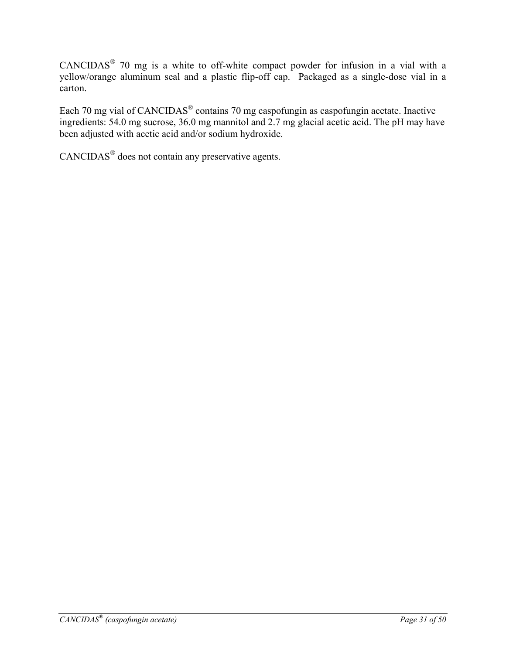CANCIDAS® 70 mg is a white to off-white compact powder for infusion in a vial with a yellow/orange aluminum seal and a plastic flip-off cap. Packaged as a single-dose vial in a carton.

Each 70 mg vial of CANCIDAS® contains 70 mg caspofungin as caspofungin acetate. Inactive ingredients: 54.0 mg sucrose, 36.0 mg mannitol and 2.7 mg glacial acetic acid. The pH may have been adjusted with acetic acid and/or sodium hydroxide.

CANCIDAS® does not contain any preservative agents.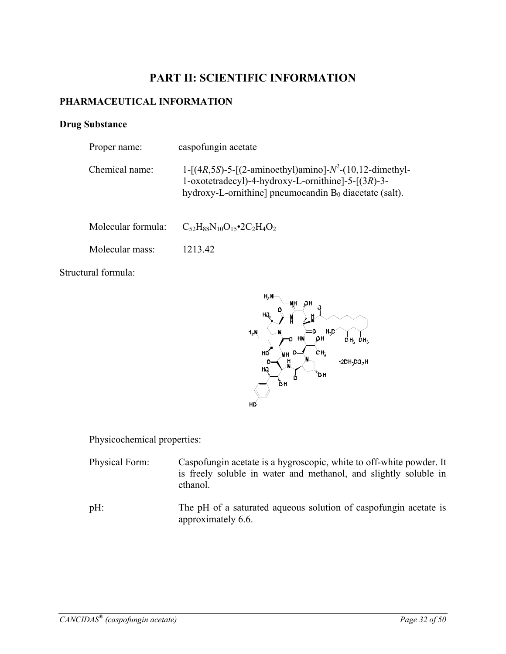# **PART II: SCIENTIFIC INFORMATION**

### **PHARMACEUTICAL INFORMATION**

### **Drug Substance**

| Proper name:       | caspofungin acetate                                                                                                                                                                |
|--------------------|------------------------------------------------------------------------------------------------------------------------------------------------------------------------------------|
| Chemical name:     | 1-[(4R,5S)-5-[(2-aminoethyl)amino]- $N^2$ -(10,12-dimethyl-<br>1-oxotetradecyl)-4-hydroxy-L-ornithine]-5- $[(3R)$ -3-<br>hydroxy-L-ornithine] pneumocandin $B_0$ diacetate (salt). |
| Molecular formula: | $C_{52}H_{88}N_{10}O_{15}$ • 2C <sub>2</sub> H <sub>4</sub> O <sub>2</sub>                                                                                                         |
| Molecular mass:    | 1213.42                                                                                                                                                                            |
|                    |                                                                                                                                                                                    |

Structural formula:



Physicochemical properties:

- Physical Form: Caspofungin acetate is a hygroscopic, white to off-white powder. It is freely soluble in water and methanol, and slightly soluble in ethanol.
- pH: The pH of a saturated aqueous solution of caspofungin acetate is approximately 6.6.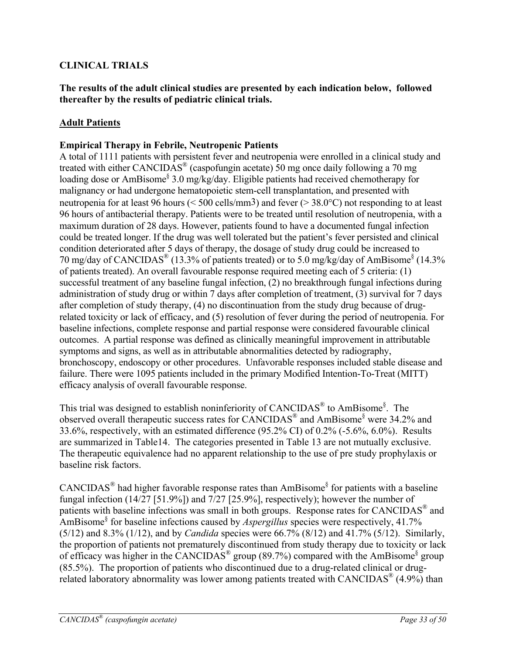# **CLINICAL TRIALS**

**The results of the adult clinical studies are presented by each indication below, followed thereafter by the results of pediatric clinical trials.** 

### **Adult Patients**

### **Empirical Therapy in Febrile, Neutropenic Patients**

A total of 1111 patients with persistent fever and neutropenia were enrolled in a clinical study and treated with either CANCIDAS® (caspofungin acetate) 50 mg once daily following a 70 mg loading dose or AmBisome<sup>§</sup> 3.0 mg/kg/day. Eligible patients had received chemotherapy for malignancy or had undergone hematopoietic stem-cell transplantation, and presented with neutropenia for at least 96 hours (< 500 cells/mm3) and fever (> 38.0°C) not responding to at least 96 hours of antibacterial therapy. Patients were to be treated until resolution of neutropenia, with a maximum duration of 28 days. However, patients found to have a documented fungal infection could be treated longer. If the drug was well tolerated but the patient's fever persisted and clinical condition deteriorated after 5 days of therapy, the dosage of study drug could be increased to 70 mg/day of CANCIDAS® (13.3% of patients treated) or to 5.0 mg/kg/day of AmBisome§ (14.3% of patients treated). An overall favourable response required meeting each of 5 criteria: (1) successful treatment of any baseline fungal infection, (2) no breakthrough fungal infections during administration of study drug or within 7 days after completion of treatment, (3) survival for 7 days after completion of study therapy, (4) no discontinuation from the study drug because of drugrelated toxicity or lack of efficacy, and (5) resolution of fever during the period of neutropenia. For baseline infections, complete response and partial response were considered favourable clinical outcomes. A partial response was defined as clinically meaningful improvement in attributable symptoms and signs, as well as in attributable abnormalities detected by radiography, bronchoscopy, endoscopy or other procedures. Unfavorable responses included stable disease and failure. There were 1095 patients included in the primary Modified Intention-To-Treat (MITT) efficacy analysis of overall favourable response.

This trial was designed to establish noninferiority of CANCIDAS<sup>®</sup> to AmBisome<sup>§</sup>. The observed overall therapeutic success rates for CANCIDAS® and AmBisome§ were 34.2% and 33.6%, respectively, with an estimated difference (95.2% CI) of 0.2% (-5.6%, 6.0%). Results are summarized in Table14. The categories presented in Table 13 are not mutually exclusive. The therapeutic equivalence had no apparent relationship to the use of pre study prophylaxis or baseline risk factors.

CANCIDAS<sup>®</sup> had higher favorable response rates than AmBisome<sup>§</sup> for patients with a baseline fungal infection (14/27 [51.9%]) and 7/27 [25.9%], respectively); however the number of patients with baseline infections was small in both groups. Response rates for CANCIDAS® and AmBisome§ for baseline infections caused by *Aspergillus* species were respectively, 41.7% (5/12) and 8.3% (1/12), and by *Candida* species were 66.7% (8/12) and 41.7% (5/12). Similarly, the proportion of patients not prematurely discontinued from study therapy due to toxicity or lack of efficacy was higher in the CANCIDAS<sup>®</sup> group (89.7%) compared with the AmBisome<sup>§</sup> group (85.5%). The proportion of patients who discontinued due to a drug-related clinical or drugrelated laboratory abnormality was lower among patients treated with CANCIDAS<sup>®</sup>  $(4.9\%)$  than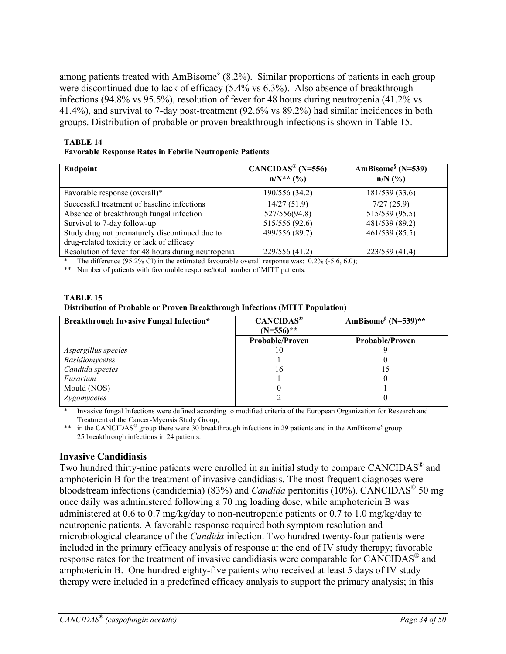among patients treated with AmBisome<sup>§</sup> (8.2%). Similar proportions of patients in each group were discontinued due to lack of efficacy (5.4% vs 6.3%). Also absence of breakthrough infections (94.8% vs 95.5%), resolution of fever for 48 hours during neutropenia (41.2% vs 41.4%), and survival to 7-day post-treatment (92.6% vs 89.2%) had similar incidences in both groups. Distribution of probable or proven breakthrough infections is shown in Table 15.

#### **TABLE 14 Favorable Response Rates in Febrile Neutropenic Patients**

| Endpoint                                            | $CANCIDAS^* (N=556)$ | AmBisome <sup>§</sup> (N=539) |
|-----------------------------------------------------|----------------------|-------------------------------|
|                                                     | $n/N^*$ (%)          | $n/N$ (%)                     |
| Favorable response (overall)*                       | 190/556 (34.2)       | 181/539 (33.6)                |
| Successful treatment of baseline infections         | 14/27(51.9)          | 7/27(25.9)                    |
| Absence of breakthrough fungal infection            | 527/556(94.8)        | 515/539 (95.5)                |
| Survival to 7-day follow-up                         | 515/556 (92.6)       | 481/539 (89.2)                |
| Study drug not prematurely discontinued due to      | 499/556 (89.7)       | 461/539 (85.5)                |
| drug-related toxicity or lack of efficacy           |                      |                               |
| Resolution of fever for 48 hours during neutropenia | 229/556 (41.2)       | 223/539 (41.4)                |

The difference (95.2% CI) in the estimated favourable overall response was:  $0.2\%$  (-5.6, 6.0);

\*\* Number of patients with favourable response/total number of MITT patients.

| TABLE 15                                                                     |
|------------------------------------------------------------------------------|
| Distribution of Probable or Proven Breakthrough Infections (MITT Population) |

| <b>Breakthrough Invasive Fungal Infection*</b> | CANCIDAS <sup>®</sup>  | AmBisome <sup>§</sup> (N=539)** |
|------------------------------------------------|------------------------|---------------------------------|
|                                                | $(N=556)$ **           |                                 |
|                                                | <b>Probable/Proven</b> | <b>Probable/Proven</b>          |
| Aspergillus species                            | 10                     |                                 |
| <b>Basidiomycetes</b>                          |                        |                                 |
| Candida species                                | 16                     |                                 |
| Fusarium                                       |                        |                                 |
| Mould (NOS)                                    |                        |                                 |
| Zygomycetes                                    |                        |                                 |

Invasive fungal Infections were defined according to modified criteria of the European Organization for Research and Treatment of the Cancer-Mycosis Study Group,

\*\* in the CANCIDAS<sup>®</sup> group there were 30 breakthrough infections in 29 patients and in the AmBisome<sup>§</sup> group 25 breakthrough infections in 24 patients.

### **Invasive Candidiasis**

Two hundred thirty-nine patients were enrolled in an initial study to compare CANCIDAS® and amphotericin B for the treatment of invasive candidiasis. The most frequent diagnoses were bloodstream infections (candidemia) (83%) and *Candida* peritonitis (10%). CANCIDAS® 50 mg once daily was administered following a 70 mg loading dose, while amphotericin B was administered at 0.6 to 0.7 mg/kg/day to non-neutropenic patients or 0.7 to 1.0 mg/kg/day to neutropenic patients. A favorable response required both symptom resolution and microbiological clearance of the *Candida* infection. Two hundred twenty-four patients were included in the primary efficacy analysis of response at the end of IV study therapy; favorable response rates for the treatment of invasive candidiasis were comparable for CANCIDAS® and amphotericin B. One hundred eighty-five patients who received at least 5 days of IV study therapy were included in a predefined efficacy analysis to support the primary analysis; in this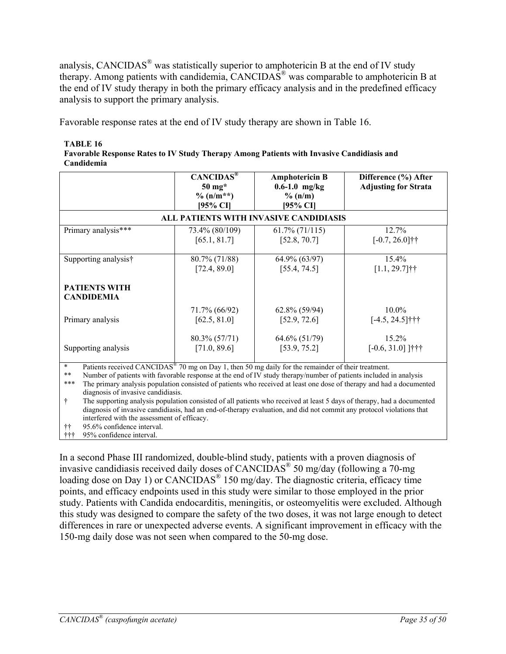analysis, CANCIDAS® was statistically superior to amphotericin B at the end of IV study therapy. Among patients with candidemia, CANCIDAS® was comparable to amphotericin B at the end of IV study therapy in both the primary efficacy analysis and in the predefined efficacy analysis to support the primary analysis.

Favorable response rates at the end of IV study therapy are shown in Table 16.

**TABLE 16 Favorable Response Rates to IV Study Therapy Among Patients with Invasive Candidiasis and Candidemia**

|                                                                                                                                                                                                                                                             | $CANCIDAS^{\otimes}$<br>$50 \text{ mg}$ *<br>$\%$ (n/m**)<br>[95% CI] | <b>Amphotericin B</b><br>$0.6 - 1.0$ mg/kg<br>$\%$ (n/m)<br>[95% CI] | Difference (%) After<br><b>Adjusting for Strata</b> |  |
|-------------------------------------------------------------------------------------------------------------------------------------------------------------------------------------------------------------------------------------------------------------|-----------------------------------------------------------------------|----------------------------------------------------------------------|-----------------------------------------------------|--|
|                                                                                                                                                                                                                                                             | ALL PATIENTS WITH INVASIVE CANDIDIASIS                                |                                                                      |                                                     |  |
| Primary analysis***                                                                                                                                                                                                                                         | 73.4% (80/109)                                                        | $61.7\%$ (71/115)                                                    | 12.7%                                               |  |
|                                                                                                                                                                                                                                                             | [65.1, 81.7]                                                          | [52.8, 70.7]                                                         | $[-0.7, 26.0]$ ††                                   |  |
| Supporting analysis†                                                                                                                                                                                                                                        | 80.7% (71/88)                                                         | 64.9% (63/97)                                                        | 15.4%                                               |  |
|                                                                                                                                                                                                                                                             | [72.4, 89.0]                                                          | [55.4, 74.5]                                                         | $[1.1, 29.7]$ ††                                    |  |
| <b>PATIENTS WITH</b><br><b>CANDIDEMIA</b>                                                                                                                                                                                                                   |                                                                       |                                                                      |                                                     |  |
| Primary analysis                                                                                                                                                                                                                                            | 71.7% (66/92)                                                         | $62.8\%$ (59/94)                                                     | $10.0\%$                                            |  |
|                                                                                                                                                                                                                                                             | [62.5, 81.0]                                                          | [52.9, 72.6]                                                         | $[-4.5, 24.5]$ †††                                  |  |
| Supporting analysis                                                                                                                                                                                                                                         | 80.3% (57/71)                                                         | $64.6\% (51/79)$                                                     | 15.2%                                               |  |
|                                                                                                                                                                                                                                                             | [71.0, 89.6]                                                          | [53.9, 75.2]                                                         | $[-0.6, 31.0]$ ]†††                                 |  |
| $\ast$<br>Patients received CANCIDAS <sup>®</sup> 70 mg on Day 1, then 50 mg daily for the remainder of their treatment.<br>$\ast\ast$<br>Number of patients with favorable response at the end of IV study therapy/number of patients included in analysis |                                                                       |                                                                      |                                                     |  |

\*\*\* The primary analysis population consisted of patients who received at least one dose of therapy and had a documented diagnosis of invasive candidiasis.

† The supporting analysis population consisted of all patients who received at least 5 days of therapy, had a documented diagnosis of invasive candidiasis, had an end-of-therapy evaluation, and did not commit any protocol violations that interfered with the assessment of efficacy.

95.6% confidence interval.

††† 95% confidence interval.

In a second Phase III randomized, double-blind study, patients with a proven diagnosis of invasive candidiasis received daily doses of CANCIDAS® 50 mg/day (following a 70-mg loading dose on Day 1) or CANCIDAS<sup>®</sup> 150 mg/day. The diagnostic criteria, efficacy time points, and efficacy endpoints used in this study were similar to those employed in the prior study. Patients with Candida endocarditis, meningitis, or osteomyelitis were excluded. Although this study was designed to compare the safety of the two doses, it was not large enough to detect differences in rare or unexpected adverse events. A significant improvement in efficacy with the 150-mg daily dose was not seen when compared to the 50-mg dose.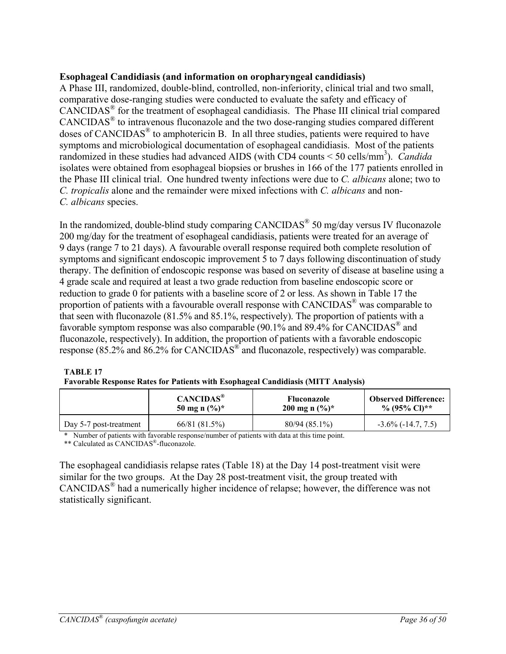### **Esophageal Candidiasis (and information on oropharyngeal candidiasis)**

A Phase III, randomized, double-blind, controlled, non-inferiority, clinical trial and two small, comparative dose-ranging studies were conducted to evaluate the safety and efficacy of CANCIDAS® for the treatment of esophageal candidiasis. The Phase III clinical trial compared CANCIDAS® to intravenous fluconazole and the two dose-ranging studies compared different doses of CANCIDAS® to amphotericin B. In all three studies, patients were required to have symptoms and microbiological documentation of esophageal candidiasis. Most of the patients randomized in these studies had advanced AIDS (with CD4 counts < 50 cells/mm<sup>3</sup>). *Candida* isolates were obtained from esophageal biopsies or brushes in 166 of the 177 patients enrolled in the Phase III clinical trial. One hundred twenty infections were due to *C. albicans* alone; two to *C. tropicalis* alone and the remainder were mixed infections with *C. albicans* and non*-C. albicans* species.

In the randomized, double-blind study comparing CANCIDAS® 50 mg/day versus IV fluconazole 200 mg/day for the treatment of esophageal candidiasis, patients were treated for an average of 9 days (range 7 to 21 days). A favourable overall response required both complete resolution of symptoms and significant endoscopic improvement 5 to 7 days following discontinuation of study therapy. The definition of endoscopic response was based on severity of disease at baseline using a 4 grade scale and required at least a two grade reduction from baseline endoscopic score or reduction to grade 0 for patients with a baseline score of 2 or less. As shown in Table 17 the proportion of patients with a favourable overall response with CANCIDAS<sup>®</sup> was comparable to that seen with fluconazole (81.5% and 85.1%, respectively). The proportion of patients with a favorable symptom response was also comparable (90.1% and 89.4% for CANCIDAS® and fluconazole, respectively). In addition, the proportion of patients with a favorable endoscopic response (85.2% and 86.2% for CANCIDAS® and fluconazole, respectively) was comparable.

#### **TABLE 17**

| Favorable Response Rates for Patients with Esophageal Candidiasis (MITT Analysis) |  |  |  |
|-----------------------------------------------------------------------------------|--|--|--|
|                                                                                   |  |  |  |
|                                                                                   |  |  |  |
|                                                                                   |  |  |  |

|                        | $CANCIDAS^{\circledast}$ | <b>Fluconazole</b>         | <b>Observed Difference:</b> |
|------------------------|--------------------------|----------------------------|-----------------------------|
|                        | 50 mg n $(\%)^*$         | 200 mg n $(\frac{6}{6})^*$ | % (95% CI)**                |
| Day 5-7 post-treatment | 66/81 (81.5%)            | $80/94(85.1\%)$            | $-3.6\%$ ( $-14.7, 7.5$ )   |

\* Number of patients with favorable response/number of patients with data at this time point.

\*\* Calculated as CANCIDAS®-fluconazole.

The esophageal candidiasis relapse rates (Table 18) at the Day 14 post-treatment visit were similar for the two groups. At the Day 28 post-treatment visit, the group treated with CANCIDAS® had a numerically higher incidence of relapse; however, the difference was not statistically significant.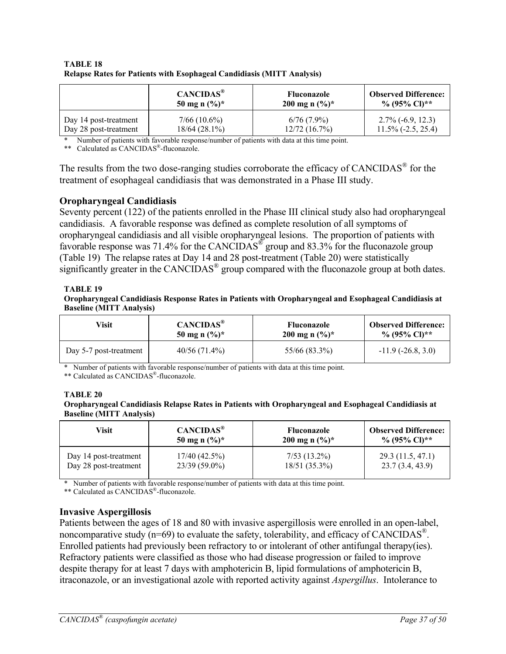|                       | CANCIDAS <sup>®</sup>     | <b>Fluconazole</b> | <b>Observed Difference:</b> |
|-----------------------|---------------------------|--------------------|-----------------------------|
|                       | 50 mg n $(\frac{6}{6})^*$ | 200 mg n $(\%)^*$  | % $(95\% \text{ Cl})$ **    |
| Day 14 post-treatment | $7/66(10.6\%)$            | $6/76(7.9\%)$      | $2.7\%$ (-6.9, 12.3)        |
| Day 28 post-treatment | $18/64$ (28.1%)           | 12/72(16.7%)       | $11.5\%$ (-2.5, 25.4)       |

#### **TABLE 18 Relapse Rates for Patients with Esophageal Candidiasis (MITT Analysis)**

\* Number of patients with favorable response/number of patients with data at this time point.

\*\* Calculated as CANCIDAS®-fluconazole.

The results from the two dose-ranging studies corroborate the efficacy of CANCIDAS<sup>®</sup> for the treatment of esophageal candidiasis that was demonstrated in a Phase III study.

#### **Oropharyngeal Candidiasis**

Seventy percent (122) of the patients enrolled in the Phase III clinical study also had oropharyngeal candidiasis. A favorable response was defined as complete resolution of all symptoms of oropharyngeal candidiasis and all visible oropharyngeal lesions. The proportion of patients with favorable response was 71.4% for the CANCIDAS<sup>®</sup> group and 83.3% for the fluconazole group (Table 19) The relapse rates at Day 14 and 28 post-treatment (Table 20) were statistically significantly greater in the CANCIDAS<sup>®</sup> group compared with the fluconazole group at both dates.

#### **TABLE 19**

**Oropharyngeal Candidiasis Response Rates in Patients with Oropharyngeal and Esophageal Candidiasis at Baseline (MITT Analysis)** 

| Visit                  | CANCIDAS <sup>®</sup>     | <b>Fluconazole</b>         | <b>Observed Difference:</b> |
|------------------------|---------------------------|----------------------------|-----------------------------|
|                        | 50 mg n $(\frac{6}{6})^*$ | 200 mg n $(\frac{9}{6})^*$ | % (95% Cl)**                |
| Day 5-7 post-treatment | 40/56(71.4%)              | 55/66 (83.3%)              | $-11.9(-26.8, 3.0)$         |

\* Number of patients with favorable response/number of patients with data at this time point.

\*\* Calculated as CANCIDAS®-fluconazole.

#### **TABLE 20 Oropharyngeal Candidiasis Relapse Rates in Patients with Oropharyngeal and Esophageal Candidiasis at Baseline (MITT Analysis)**

| Visit                 | CANCIDAS <sup>®</sup>     | <b>Fluconazole</b> | <b>Observed Difference:</b> |
|-----------------------|---------------------------|--------------------|-----------------------------|
|                       | 50 mg n $(\frac{9}{6})^*$ | 200 mg n $(\%)^*$  | % $(95\% \text{ Cl})$ **    |
| Day 14 post-treatment | 17/40(42.5%)              | $7/53(13.2\%)$     | 29.3(11.5, 47.1)            |
| Day 28 post-treatment | $23/39(59.0\%)$           | 18/51(35.3%)       | 23.7(3.4, 43.9)             |

\* Number of patients with favorable response/number of patients with data at this time point.

\*\* Calculated as CANCIDAS®-fluconazole.

#### **Invasive Aspergillosis**

Patients between the ages of 18 and 80 with invasive aspergillosis were enrolled in an open-label, noncomparative study ( $n=69$ ) to evaluate the safety, tolerability, and efficacy of CANCIDAS<sup>®</sup>. Enrolled patients had previously been refractory to or intolerant of other antifungal therapy(ies). Refractory patients were classified as those who had disease progression or failed to improve despite therapy for at least 7 days with amphotericin B, lipid formulations of amphotericin B, itraconazole, or an investigational azole with reported activity against *Aspergillus*. Intolerance to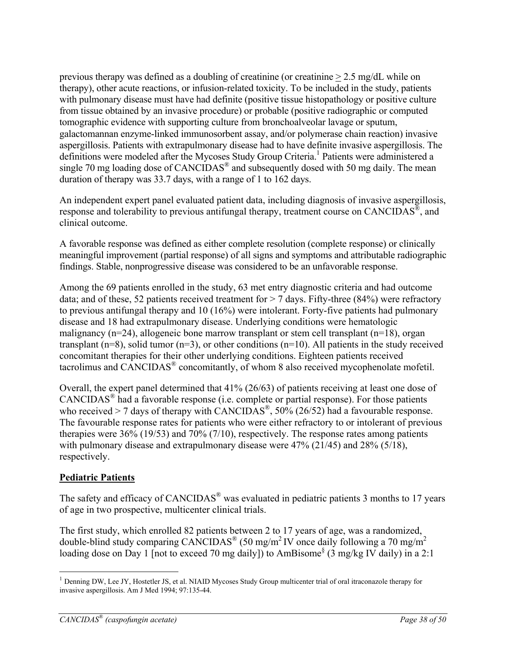previous therapy was defined as a doubling of creatinine (or creatinine > 2.5 mg/dL while on therapy), other acute reactions, or infusion-related toxicity. To be included in the study, patients with pulmonary disease must have had definite (positive tissue histopathology or positive culture from tissue obtained by an invasive procedure) or probable (positive radiographic or computed tomographic evidence with supporting culture from bronchoalveolar lavage or sputum, galactomannan enzyme-linked immunosorbent assay, and/or polymerase chain reaction) invasive aspergillosis. Patients with extrapulmonary disease had to have definite invasive aspergillosis. The definitions were modeled after the Mycoses Study Group Criteria.<sup>1</sup> Patients were administered a single 70 mg loading dose of CANCIDAS<sup>®</sup> and subsequently dosed with 50 mg daily. The mean duration of therapy was 33.7 days, with a range of 1 to 162 days.

An independent expert panel evaluated patient data, including diagnosis of invasive aspergillosis, response and tolerability to previous antifungal therapy, treatment course on CANCIDAS<sup>®</sup>, and clinical outcome.

A favorable response was defined as either complete resolution (complete response) or clinically meaningful improvement (partial response) of all signs and symptoms and attributable radiographic findings. Stable, nonprogressive disease was considered to be an unfavorable response.

Among the 69 patients enrolled in the study, 63 met entry diagnostic criteria and had outcome data; and of these, 52 patients received treatment for  $> 7$  days. Fifty-three (84%) were refractory to previous antifungal therapy and 10 (16%) were intolerant. Forty-five patients had pulmonary disease and 18 had extrapulmonary disease. Underlying conditions were hematologic malignancy ( $n=24$ ), allogeneic bone marrow transplant or stem cell transplant ( $n=18$ ), organ transplant ( $n=8$ ), solid tumor ( $n=3$ ), or other conditions ( $n=10$ ). All patients in the study received concomitant therapies for their other underlying conditions. Eighteen patients received tacrolimus and CANCIDAS® concomitantly, of whom 8 also received mycophenolate mofetil.

Overall, the expert panel determined that 41% (26/63) of patients receiving at least one dose of CANCIDAS® had a favorable response (i.e. complete or partial response). For those patients who received  $> 7$  days of therapy with CANCIDAS<sup>®</sup>, 50% (26/52) had a favourable response. The favourable response rates for patients who were either refractory to or intolerant of previous therapies were 36% (19/53) and 70% (7/10), respectively. The response rates among patients with pulmonary disease and extrapulmonary disease were 47% (21/45) and 28% (5/18), respectively.

# **Pediatric Patients**

 $\overline{a}$ 

The safety and efficacy of CANCIDAS<sup>®</sup> was evaluated in pediatric patients 3 months to 17 years of age in two prospective, multicenter clinical trials.

The first study, which enrolled 82 patients between 2 to 17 years of age, was a randomized, double-blind study comparing  $CANCIDAS^{\otimes}$  (50 mg/m<sup>2</sup> IV once daily following a 70 mg/m<sup>2</sup> loading dose on Day 1 [not to exceed 70 mg daily]) to AmBisome<sup>§</sup> (3 mg/kg IV daily) in a 2:1

<sup>&</sup>lt;sup>1</sup> Denning DW, Lee JY, Hostetler JS, et al. NIAID Mycoses Study Group multicenter trial of oral itraconazole therapy for invasive aspergillosis. Am J Med 1994; 97:135-44.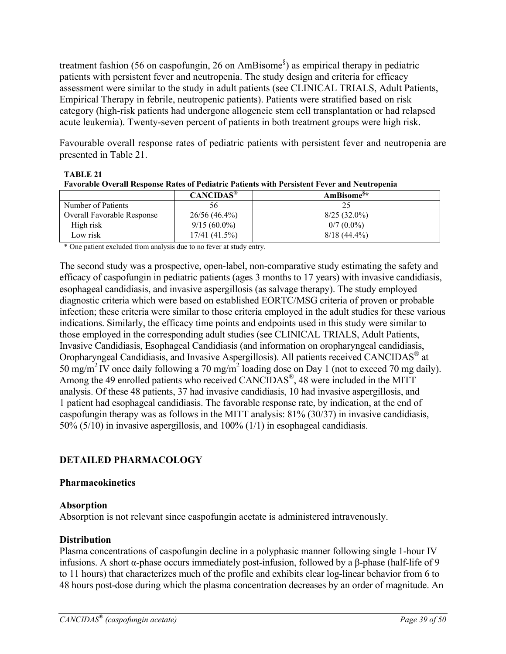treatment fashion (56 on caspofungin, 26 on AmBisome§ ) as empirical therapy in pediatric patients with persistent fever and neutropenia. The study design and criteria for efficacy assessment were similar to the study in adult patients (see CLINICAL TRIALS, Adult Patients, Empirical Therapy in febrile, neutropenic patients). Patients were stratified based on risk category (high-risk patients had undergone allogeneic stem cell transplantation or had relapsed acute leukemia). Twenty-seven percent of patients in both treatment groups were high risk.

Favourable overall response rates of pediatric patients with persistent fever and neutropenia are presented in Table 21.

| <b>Favorable Overall Response Rates of Pediatric Patients with Persistent Fever and Neutropenia</b> |                       |                        |  |  |  |
|-----------------------------------------------------------------------------------------------------|-----------------------|------------------------|--|--|--|
|                                                                                                     | CANCIDAS <sup>®</sup> | AmBisome <sup>§*</sup> |  |  |  |
| Number of Patients                                                                                  | 56                    | 25                     |  |  |  |
| Overall Favorable Response                                                                          | $26/56(46.4\%)$       | $8/25(32.0\%)$         |  |  |  |
| High risk                                                                                           | $9/15(60.0\%)$        | $0/7(0.0\%)$           |  |  |  |
| Low risk                                                                                            | 17/41(41.5%)          | $8/18(44.4\%)$         |  |  |  |

**TABLE 21 Favorable Overall Response Rates of Pediatric Patients with Persistent Fever and Neutropenia** 

\* One patient excluded from analysis due to no fever at study entry.

The second study was a prospective, open-label, non-comparative study estimating the safety and efficacy of caspofungin in pediatric patients (ages 3 months to 17 years) with invasive candidiasis, esophageal candidiasis, and invasive aspergillosis (as salvage therapy). The study employed diagnostic criteria which were based on established EORTC/MSG criteria of proven or probable infection; these criteria were similar to those criteria employed in the adult studies for these various indications. Similarly, the efficacy time points and endpoints used in this study were similar to those employed in the corresponding adult studies (see CLINICAL TRIALS, Adult Patients, Invasive Candidiasis, Esophageal Candidiasis (and information on oropharyngeal candidiasis, Oropharyngeal Candidiasis, and Invasive Aspergillosis). All patients received CANCIDAS® at 50 mg/m<sup>2</sup> IV once daily following a 70 mg/m<sup>2</sup> loading dose on Day 1 (not to exceed 70 mg daily). Among the 49 enrolled patients who received CANCIDAS<sup>®</sup>, 48 were included in the MITT analysis. Of these 48 patients, 37 had invasive candidiasis, 10 had invasive aspergillosis, and 1 patient had esophageal candidiasis. The favorable response rate, by indication, at the end of caspofungin therapy was as follows in the MITT analysis: 81% (30/37) in invasive candidiasis, 50% (5/10) in invasive aspergillosis, and 100% (1/1) in esophageal candidiasis.

### **DETAILED PHARMACOLOGY**

#### **Pharmacokinetics**

#### **Absorption**

Absorption is not relevant since caspofungin acetate is administered intravenously.

#### **Distribution**

Plasma concentrations of caspofungin decline in a polyphasic manner following single 1-hour IV infusions. A short α-phase occurs immediately post-infusion, followed by a β-phase (half-life of 9 to 11 hours) that characterizes much of the profile and exhibits clear log-linear behavior from 6 to 48 hours post-dose during which the plasma concentration decreases by an order of magnitude. An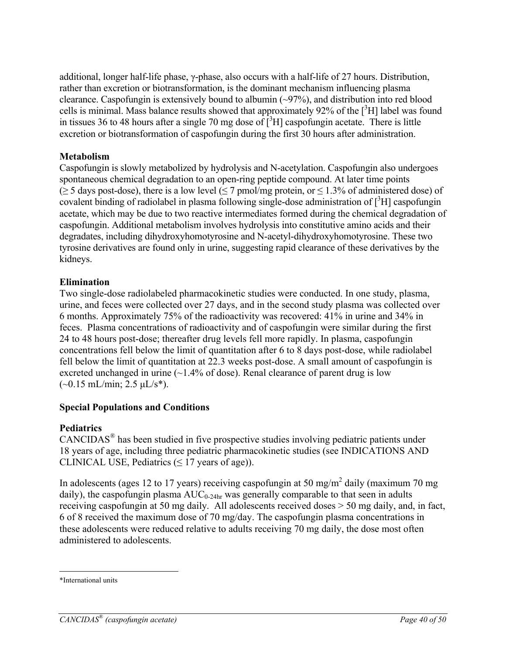additional, longer half-life phase, γ-phase, also occurs with a half-life of 27 hours. Distribution, rather than excretion or biotransformation, is the dominant mechanism influencing plasma clearance. Caspofungin is extensively bound to albumin (~97%), and distribution into red blood cells is minimal. Mass balance results showed that approximately 92% of the  $[3H]$  label was found in tissues 36 to 48 hours after a single 70 mg dose of  $\tilde{[^}3H]$  caspofungin acetate. There is little excretion or biotransformation of caspofungin during the first 30 hours after administration.

# **Metabolism**

Caspofungin is slowly metabolized by hydrolysis and N-acetylation. Caspofungin also undergoes spontaneous chemical degradation to an open-ring peptide compound. At later time points  $(\geq 5$  days post-dose), there is a low level ( $\leq 7$  pmol/mg protein, or  $\leq 1.3\%$  of administered dose) of covalent binding of radiolabel in plasma following single-dose administration of  $[^{3}H]$  caspofungin acetate, which may be due to two reactive intermediates formed during the chemical degradation of caspofungin. Additional metabolism involves hydrolysis into constitutive amino acids and their degradates, including dihydroxyhomotyrosine and N-acetyl-dihydroxyhomotyrosine. These two tyrosine derivatives are found only in urine, suggesting rapid clearance of these derivatives by the kidneys.

# **Elimination**

Two single-dose radiolabeled pharmacokinetic studies were conducted. In one study, plasma, urine, and feces were collected over 27 days, and in the second study plasma was collected over 6 months. Approximately 75% of the radioactivity was recovered: 41% in urine and 34% in feces. Plasma concentrations of radioactivity and of caspofungin were similar during the first 24 to 48 hours post-dose; thereafter drug levels fell more rapidly. In plasma, caspofungin concentrations fell below the limit of quantitation after 6 to 8 days post-dose, while radiolabel fell below the limit of quantitation at 22.3 weeks post-dose. A small amount of caspofungin is excreted unchanged in urine  $(-1.4\%$  of dose). Renal clearance of parent drug is low  $(-0.15 \text{ mL/min}; 2.5 \text{ µL/s*}).$ 

# **Special Populations and Conditions**

# **Pediatrics**

CANCIDAS® has been studied in five prospective studies involving pediatric patients under 18 years of age, including three pediatric pharmacokinetic studies (see INDICATIONS AND CLINICAL USE, Pediatrics  $(\leq 17$  years of age)).

In adolescents (ages 12 to 17 years) receiving caspofungin at 50 mg/m<sup>2</sup> daily (maximum 70 mg daily), the caspofungin plasma  $AUC_{0.24hr}$  was generally comparable to that seen in adults receiving caspofungin at 50 mg daily. All adolescents received doses > 50 mg daily, and, in fact, 6 of 8 received the maximum dose of 70 mg/day. The caspofungin plasma concentrations in these adolescents were reduced relative to adults receiving 70 mg daily, the dose most often administered to adolescents.

 $\overline{a}$ \*International units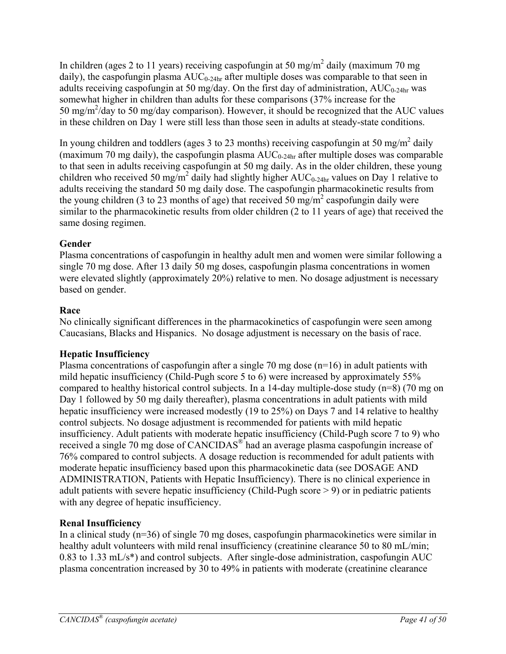In children (ages 2 to 11 years) receiving caspofungin at 50 mg/m<sup>2</sup> daily (maximum 70 mg daily), the caspofungin plasma  $AUC_{0-24hr}$  after multiple doses was comparable to that seen in adults receiving caspofungin at 50 mg/day. On the first day of administration,  $AUC_{0-24hr}$  was somewhat higher in children than adults for these comparisons (37% increase for the 50 mg/m<sup>2</sup>/day to 50 mg/day comparison). However, it should be recognized that the AUC values in these children on Day 1 were still less than those seen in adults at steady-state conditions.

In young children and toddlers (ages 3 to 23 months) receiving caspofungin at 50 mg/m<sup>2</sup> daily (maximum 70 mg daily), the caspofungin plasma  $AUC_{0.24hr}$  after multiple doses was comparable to that seen in adults receiving caspofungin at 50 mg daily. As in the older children, these young children who received 50 mg/m<sup>2</sup> daily had slightly higher  $AUC_{0.24hr}$  values on Day 1 relative to adults receiving the standard 50 mg daily dose. The caspofungin pharmacokinetic results from the young children (3 to 23 months of age) that received 50 mg/m<sup>2</sup> caspofungin daily were similar to the pharmacokinetic results from older children (2 to 11 years of age) that received the same dosing regimen.

# **Gender**

Plasma concentrations of caspofungin in healthy adult men and women were similar following a single 70 mg dose. After 13 daily 50 mg doses, caspofungin plasma concentrations in women were elevated slightly (approximately 20%) relative to men. No dosage adjustment is necessary based on gender.

# **Race**

No clinically significant differences in the pharmacokinetics of caspofungin were seen among Caucasians, Blacks and Hispanics. No dosage adjustment is necessary on the basis of race.

# **Hepatic Insufficiency**

Plasma concentrations of caspofungin after a single 70 mg dose (n=16) in adult patients with mild hepatic insufficiency (Child-Pugh score 5 to 6) were increased by approximately 55% compared to healthy historical control subjects. In a 14-day multiple-dose study (n=8) (70 mg on Day 1 followed by 50 mg daily thereafter), plasma concentrations in adult patients with mild hepatic insufficiency were increased modestly (19 to 25%) on Days 7 and 14 relative to healthy control subjects. No dosage adjustment is recommended for patients with mild hepatic insufficiency. Adult patients with moderate hepatic insufficiency (Child-Pugh score 7 to 9) who received a single 70 mg dose of CANCIDAS® had an average plasma caspofungin increase of 76% compared to control subjects. A dosage reduction is recommended for adult patients with moderate hepatic insufficiency based upon this pharmacokinetic data (see DOSAGE AND ADMINISTRATION, Patients with Hepatic Insufficiency). There is no clinical experience in adult patients with severe hepatic insufficiency (Child-Pugh score > 9) or in pediatric patients with any degree of hepatic insufficiency.

# **Renal Insufficiency**

In a clinical study (n=36) of single 70 mg doses, caspofungin pharmacokinetics were similar in healthy adult volunteers with mild renal insufficiency (creatinine clearance 50 to 80 mL/min; 0.83 to 1.33 mL/s\*) and control subjects. After single-dose administration, caspofungin AUC plasma concentration increased by 30 to 49% in patients with moderate (creatinine clearance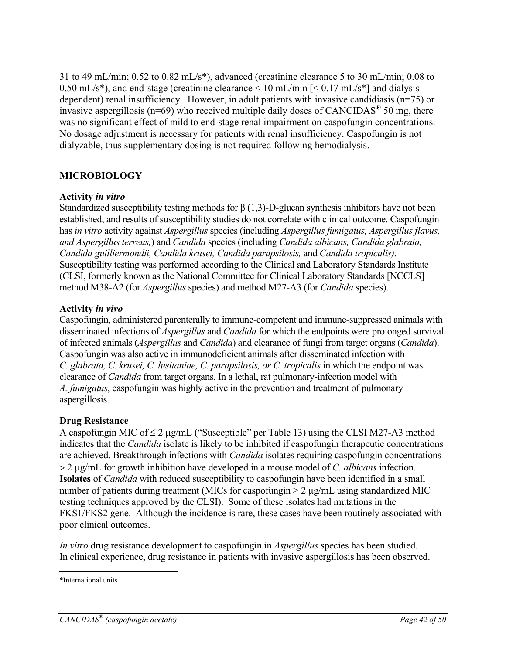31 to 49 mL/min; 0.52 to 0.82 mL/s\*), advanced (creatinine clearance 5 to 30 mL/min; 0.08 to 0.50 mL/s<sup>\*</sup>), and end-stage (creatinine clearance  $\leq 10$  mL/min  $\left[ \leq 0.17 \text{ mL/s*} \right]$  and dialysis dependent) renal insufficiency. However, in adult patients with invasive candidiasis (n=75) or invasive aspergillosis ( $n=69$ ) who received multiple daily doses of CANCIDAS<sup>®</sup> 50 mg, there was no significant effect of mild to end-stage renal impairment on caspofungin concentrations. No dosage adjustment is necessary for patients with renal insufficiency. Caspofungin is not dialyzable, thus supplementary dosing is not required following hemodialysis.

# **MICROBIOLOGY**

#### **Activity** *in vitro*

Standardized susceptibility testing methods for  $\beta$  (1,3)-D-glucan synthesis inhibitors have not been established, and results of susceptibility studies do not correlate with clinical outcome. Caspofungin has *in vitro* activity against *Aspergillus* species (including *Aspergillus fumigatus, Aspergillus flavus, and Aspergillus terreus,*) and *Candida* species (including *Candida albicans, Candida glabrata, Candida guilliermondii, Candida krusei, Candida parapsilosis,* and *Candida tropicalis)*. Susceptibility testing was performed according to the Clinical and Laboratory Standards Institute (CLSI, formerly known as the National Committee for Clinical Laboratory Standards [NCCLS] method M38-A2 (for *Aspergillus* species) and method M27-A3 (for *Candida* species).

#### **Activity** *in vivo*

Caspofungin, administered parenterally to immune-competent and immune-suppressed animals with disseminated infections of *Aspergillus* and *Candida* for which the endpoints were prolonged survival of infected animals (*Aspergillus* and *Candida*) and clearance of fungi from target organs (*Candida*). Caspofungin was also active in immunodeficient animals after disseminated infection with *C. glabrata, C. krusei, C. lusitaniae, C. parapsilosis, or C. tropicalis* in which the endpoint was clearance of *Candida* from target organs. In a lethal, rat pulmonary-infection model with *A. fumigatus*, caspofungin was highly active in the prevention and treatment of pulmonary aspergillosis.

### **Drug Resistance**

A caspofungin MIC of  $\leq 2 \mu$ g/mL ("Susceptible" per Table 13) using the CLSI M27-A3 method indicates that the *Candida* isolate is likely to be inhibited if caspofungin therapeutic concentrations are achieved. Breakthrough infections with *Candida* isolates requiring caspofungin concentrations 2 g/mL for growth inhibition have developed in a mouse model of *C. albicans* infection. **Isolates** of *Candida* with reduced susceptibility to caspofungin have been identified in a small number of patients during treatment (MICs for caspofungin > 2 μg/mL using standardized MIC testing techniques approved by the CLSI). Some of these isolates had mutations in the FKS1/FKS2 gene. Although the incidence is rare, these cases have been routinely associated with poor clinical outcomes.

*In vitro* drug resistance development to caspofungin in *Aspergillus* species has been studied. In clinical experience, drug resistance in patients with invasive aspergillosis has been observed.

 $\overline{a}$ \*International units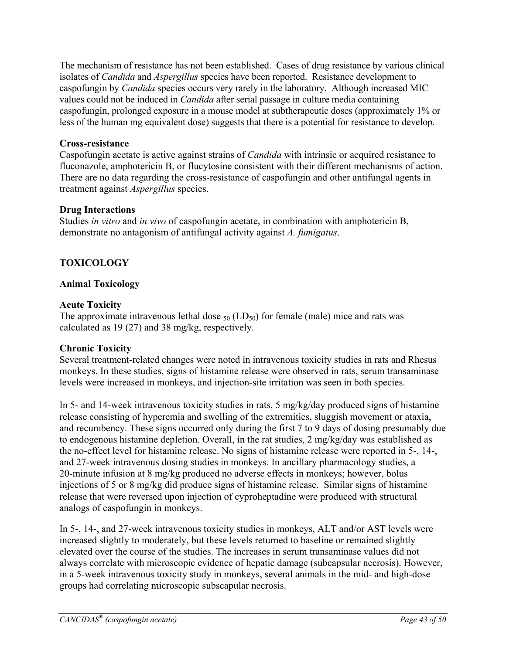The mechanism of resistance has not been established. Cases of drug resistance by various clinical isolates of *Candida* and *Aspergillus* species have been reported. Resistance development to caspofungin by *Candida* species occurs very rarely in the laboratory. Although increased MIC values could not be induced in *Candida* after serial passage in culture media containing caspofungin, prolonged exposure in a mouse model at subtherapeutic doses (approximately 1% or less of the human mg equivalent dose) suggests that there is a potential for resistance to develop.

### **Cross-resistance**

Caspofungin acetate is active against strains of *Candida* with intrinsic or acquired resistance to fluconazole, amphotericin B, or flucytosine consistent with their different mechanisms of action. There are no data regarding the cross-resistance of caspofungin and other antifungal agents in treatment against *Aspergillus* species.

### **Drug Interactions**

Studies *in vitro* and *in vivo* of caspofungin acetate, in combination with amphotericin B, demonstrate no antagonism of antifungal activity against *A. fumigatus*.

# **TOXICOLOGY**

# **Animal Toxicology**

### **Acute Toxicity**

The approximate intravenous lethal dose  $_{50}$  (LD<sub>50</sub>) for female (male) mice and rats was calculated as 19 (27) and 38 mg/kg, respectively.

### **Chronic Toxicity**

Several treatment-related changes were noted in intravenous toxicity studies in rats and Rhesus monkeys. In these studies, signs of histamine release were observed in rats, serum transaminase levels were increased in monkeys, and injection-site irritation was seen in both species.

In 5- and 14-week intravenous toxicity studies in rats, 5 mg/kg/day produced signs of histamine release consisting of hyperemia and swelling of the extremities, sluggish movement or ataxia, and recumbency. These signs occurred only during the first 7 to 9 days of dosing presumably due to endogenous histamine depletion. Overall, in the rat studies, 2 mg/kg/day was established as the no-effect level for histamine release. No signs of histamine release were reported in 5-, 14-, and 27-week intravenous dosing studies in monkeys. In ancillary pharmacology studies, a 20-minute infusion at 8 mg/kg produced no adverse effects in monkeys; however, bolus injections of 5 or 8 mg/kg did produce signs of histamine release. Similar signs of histamine release that were reversed upon injection of cyproheptadine were produced with structural analogs of caspofungin in monkeys.

In 5-, 14-, and 27-week intravenous toxicity studies in monkeys, ALT and/or AST levels were increased slightly to moderately, but these levels returned to baseline or remained slightly elevated over the course of the studies. The increases in serum transaminase values did not always correlate with microscopic evidence of hepatic damage (subcapsular necrosis). However, in a 5-week intravenous toxicity study in monkeys, several animals in the mid- and high-dose groups had correlating microscopic subscapular necrosis.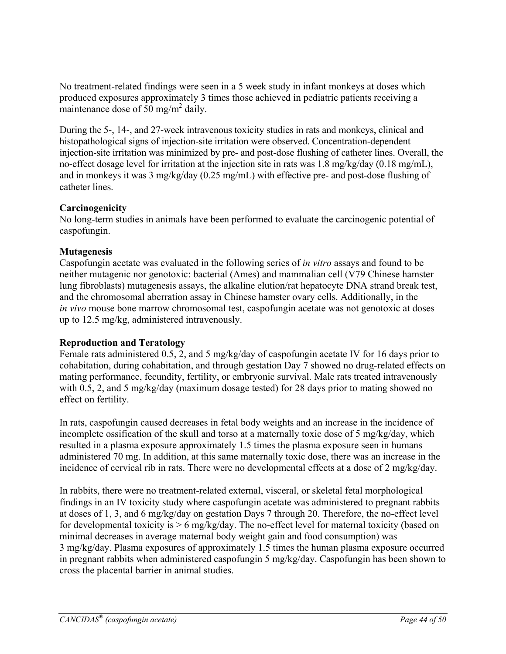No treatment-related findings were seen in a 5 week study in infant monkeys at doses which produced exposures approximately 3 times those achieved in pediatric patients receiving a maintenance dose of  $50 \text{ mg/m}^2$  daily.

During the 5-, 14-, and 27-week intravenous toxicity studies in rats and monkeys, clinical and histopathological signs of injection-site irritation were observed. Concentration-dependent injection-site irritation was minimized by pre- and post-dose flushing of catheter lines. Overall, the no-effect dosage level for irritation at the injection site in rats was 1.8 mg/kg/day (0.18 mg/mL), and in monkeys it was 3 mg/kg/day (0.25 mg/mL) with effective pre- and post-dose flushing of catheter lines.

### **Carcinogenicity**

No long-term studies in animals have been performed to evaluate the carcinogenic potential of caspofungin.

# **Mutagenesis**

Caspofungin acetate was evaluated in the following series of *in vitro* assays and found to be neither mutagenic nor genotoxic: bacterial (Ames) and mammalian cell (V79 Chinese hamster lung fibroblasts) mutagenesis assays, the alkaline elution/rat hepatocyte DNA strand break test, and the chromosomal aberration assay in Chinese hamster ovary cells. Additionally, in the *in vivo* mouse bone marrow chromosomal test, caspofungin acetate was not genotoxic at doses up to 12.5 mg/kg, administered intravenously.

# **Reproduction and Teratology**

Female rats administered 0.5, 2, and 5 mg/kg/day of caspofungin acetate IV for 16 days prior to cohabitation, during cohabitation, and through gestation Day 7 showed no drug-related effects on mating performance, fecundity, fertility, or embryonic survival. Male rats treated intravenously with 0.5, 2, and 5 mg/kg/day (maximum dosage tested) for 28 days prior to mating showed no effect on fertility.

In rats, caspofungin caused decreases in fetal body weights and an increase in the incidence of incomplete ossification of the skull and torso at a maternally toxic dose of 5 mg/kg/day, which resulted in a plasma exposure approximately 1.5 times the plasma exposure seen in humans administered 70 mg. In addition, at this same maternally toxic dose, there was an increase in the incidence of cervical rib in rats. There were no developmental effects at a dose of 2 mg/kg/day.

In rabbits, there were no treatment-related external, visceral, or skeletal fetal morphological findings in an IV toxicity study where caspofungin acetate was administered to pregnant rabbits at doses of 1, 3, and 6 mg/kg/day on gestation Days 7 through 20. Therefore, the no-effect level for developmental toxicity is  $> 6$  mg/kg/day. The no-effect level for maternal toxicity (based on minimal decreases in average maternal body weight gain and food consumption) was 3 mg/kg/day. Plasma exposures of approximately 1.5 times the human plasma exposure occurred in pregnant rabbits when administered caspofungin 5 mg/kg/day. Caspofungin has been shown to cross the placental barrier in animal studies.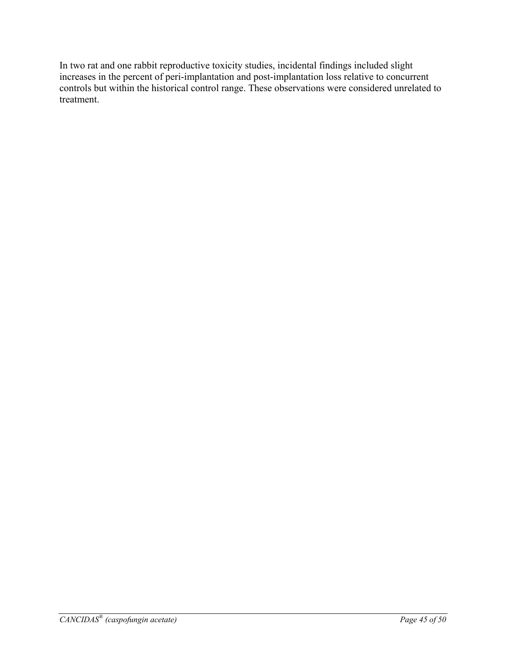In two rat and one rabbit reproductive toxicity studies, incidental findings included slight increases in the percent of peri-implantation and post-implantation loss relative to concurrent controls but within the historical control range. These observations were considered unrelated to treatment.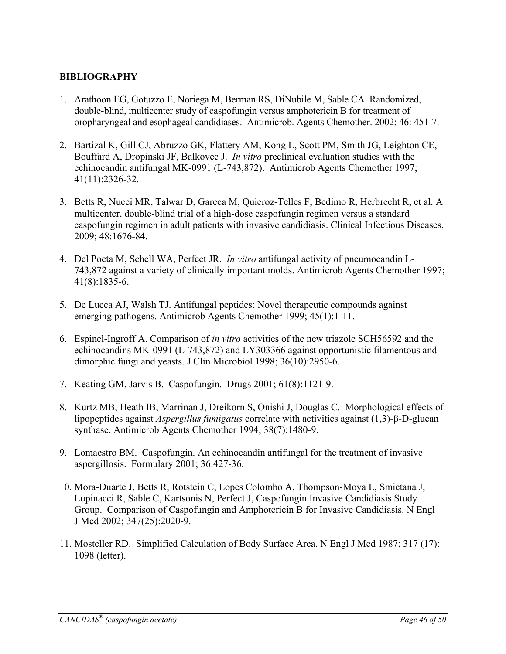### **BIBLIOGRAPHY**

- 1. Arathoon EG, Gotuzzo E, Noriega M, Berman RS, DiNubile M, Sable CA. Randomized, double-blind, multicenter study of caspofungin versus amphotericin B for treatment of oropharyngeal and esophageal candidiases. Antimicrob. Agents Chemother. 2002; 46: 451-7.
- 2. Bartizal K, Gill CJ, Abruzzo GK, Flattery AM, Kong L, Scott PM, Smith JG, Leighton CE, Bouffard A, Dropinski JF, Balkovec J. *In vitro* preclinical evaluation studies with the echinocandin antifungal MK-0991 (L-743,872). Antimicrob Agents Chemother 1997; 41(11):2326-32.
- 3. Betts R, Nucci MR, Talwar D, Gareca M, Quieroz-Telles F, Bedimo R, Herbrecht R, et al. A multicenter, double-blind trial of a high-dose caspofungin regimen versus a standard caspofungin regimen in adult patients with invasive candidiasis. Clinical Infectious Diseases, 2009; 48:1676-84.
- 4. Del Poeta M, Schell WA, Perfect JR. *In vitro* antifungal activity of pneumocandin L-743,872 against a variety of clinically important molds. Antimicrob Agents Chemother 1997; 41(8):1835-6.
- 5. De Lucca AJ, Walsh TJ. Antifungal peptides: Novel therapeutic compounds against emerging pathogens. Antimicrob Agents Chemother 1999; 45(1):1-11.
- 6. Espinel-Ingroff A. Comparison of *in vitro* activities of the new triazole SCH56592 and the echinocandins MK-0991 (L-743,872) and LY303366 against opportunistic filamentous and dimorphic fungi and yeasts. J Clin Microbiol 1998; 36(10):2950-6.
- 7. Keating GM, Jarvis B. Caspofungin. Drugs 2001; 61(8):1121-9.
- 8. Kurtz MB, Heath IB, Marrinan J, Dreikorn S, Onishi J, Douglas C. Morphological effects of lipopeptides against *Aspergillus fumigatus* correlate with activities against (1,3)-β-D-glucan synthase. Antimicrob Agents Chemother 1994; 38(7):1480-9.
- 9. Lomaestro BM. Caspofungin. An echinocandin antifungal for the treatment of invasive aspergillosis. Formulary 2001; 36:427-36.
- 10. Mora-Duarte J, Betts R, Rotstein C, Lopes Colombo A, Thompson-Moya L, Smietana J, Lupinacci R, Sable C, Kartsonis N, Perfect J, Caspofungin Invasive Candidiasis Study Group. Comparison of Caspofungin and Amphotericin B for Invasive Candidiasis. N Engl J Med 2002; 347(25):2020-9.
- 11. Mosteller RD. Simplified Calculation of Body Surface Area. N Engl J Med 1987; 317 (17): 1098 (letter).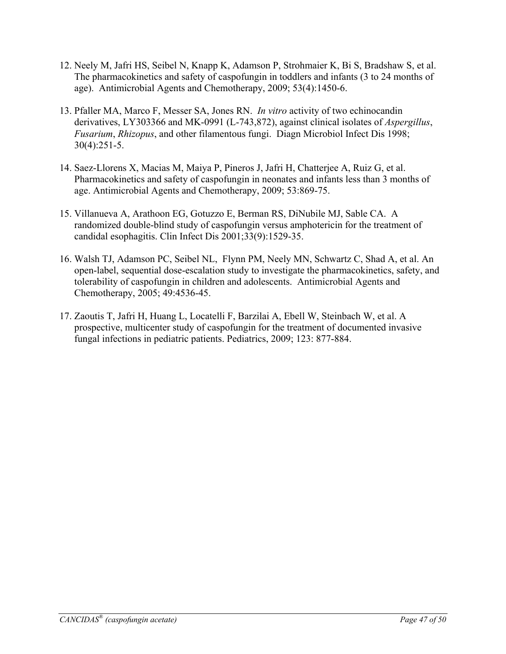- 12. Neely M, Jafri HS, Seibel N, Knapp K, Adamson P, Strohmaier K, Bi S, Bradshaw S, et al. The pharmacokinetics and safety of caspofungin in toddlers and infants (3 to 24 months of age). Antimicrobial Agents and Chemotherapy, 2009; 53(4):1450-6.
- 13. Pfaller MA, Marco F, Messer SA, Jones RN. *In vitro* activity of two echinocandin derivatives, LY303366 and MK-0991 (L-743,872), against clinical isolates of *Aspergillus*, *Fusarium*, *Rhizopus*, and other filamentous fungi. Diagn Microbiol Infect Dis 1998; 30(4):251-5.
- 14. Saez-Llorens X, Macias M, Maiya P, Pineros J, Jafri H, Chatterjee A, Ruiz G, et al. Pharmacokinetics and safety of caspofungin in neonates and infants less than 3 months of age. Antimicrobial Agents and Chemotherapy, 2009; 53:869-75.
- 15. Villanueva A, Arathoon EG, Gotuzzo E, Berman RS, DiNubile MJ, Sable CA. A randomized double-blind study of caspofungin versus amphotericin for the treatment of candidal esophagitis. Clin Infect Dis 2001;33(9):1529-35.
- 16. Walsh TJ, Adamson PC, Seibel NL, Flynn PM, Neely MN, Schwartz C, Shad A, et al. An open-label, sequential dose-escalation study to investigate the pharmacokinetics, safety, and tolerability of caspofungin in children and adolescents. Antimicrobial Agents and Chemotherapy, 2005; 49:4536-45.
- 17. Zaoutis T, Jafri H, Huang L, Locatelli F, Barzilai A, Ebell W, Steinbach W, et al. A prospective, multicenter study of caspofungin for the treatment of documented invasive fungal infections in pediatric patients. Pediatrics, 2009; 123: 877-884.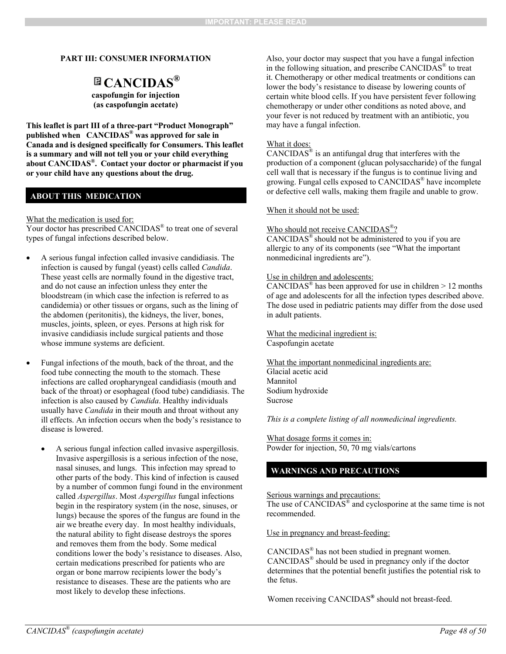#### **PART III: CONSUMER INFORMATION**

# **CANCIDAS®**

**caspofungin for injection (as caspofungin acetate)**

**This leaflet is part III of a three-part "Product Monograph" published when CANCIDAS® was approved for sale in Canada and is designed specifically for Consumers. This leaflet is a summary and will not tell you or your child everything about CANCIDAS®. Contact your doctor or pharmacist if you or your child have any questions about the drug.** 

#### **ABOUT THIS MEDICATION**

What the medication is used for:

Your doctor has prescribed CANCIDAS<sup>®</sup> to treat one of several types of fungal infections described below.

- A serious fungal infection called invasive candidiasis. The infection is caused by fungal (yeast) cells called *Candida*. These yeast cells are normally found in the digestive tract, and do not cause an infection unless they enter the bloodstream (in which case the infection is referred to as candidemia) or other tissues or organs, such as the lining of the abdomen (peritonitis), the kidneys, the liver, bones, muscles, joints, spleen, or eyes. Persons at high risk for invasive candidiasis include surgical patients and those whose immune systems are deficient.
- Fungal infections of the mouth, back of the throat, and the food tube connecting the mouth to the stomach. These infections are called oropharyngeal candidiasis (mouth and back of the throat) or esophageal (food tube) candidiasis. The infection is also caused by *Candida*. Healthy individuals usually have *Candida* in their mouth and throat without any ill effects. An infection occurs when the body's resistance to disease is lowered.
	- A serious fungal infection called invasive aspergillosis. Invasive aspergillosis is a serious infection of the nose, nasal sinuses, and lungs. This infection may spread to other parts of the body. This kind of infection is caused by a number of common fungi found in the environment called *Aspergillus*. Most *Aspergillus* fungal infections begin in the respiratory system (in the nose, sinuses, or lungs) because the spores of the fungus are found in the air we breathe every day. In most healthy individuals, the natural ability to fight disease destroys the spores and removes them from the body. Some medical conditions lower the body's resistance to diseases. Also, certain medications prescribed for patients who are organ or bone marrow recipients lower the body's resistance to diseases. These are the patients who are most likely to develop these infections.

Also, your doctor may suspect that you have a fungal infection in the following situation, and prescribe CANCIDAS® to treat it. Chemotherapy or other medical treatments or conditions can lower the body's resistance to disease by lowering counts of certain white blood cells. If you have persistent fever following chemotherapy or under other conditions as noted above, and your fever is not reduced by treatment with an antibiotic, you may have a fungal infection.

#### What it does:

CANCIDAS $^{\circ}$  is an antifungal drug that interferes with the production of a component (glucan polysaccharide) of the fungal cell wall that is necessary if the fungus is to continue living and growing. Fungal cells exposed to CANCIDAS® have incomplete or defective cell walls, making them fragile and unable to grow.

When it should not be used:

#### Who should not receive CANCIDAS<sup>®</sup>?

CANCIDAS® should not be administered to you if you are allergic to any of its components (see "What the important nonmedicinal ingredients are").

#### Use in children and adolescents:

CANCIDAS<sup>®</sup> has been approved for use in children  $> 12$  months of age and adolescents for all the infection types described above. The dose used in pediatric patients may differ from the dose used in adult patients.

What the medicinal ingredient is: Caspofungin acetate

What the important nonmedicinal ingredients are: Glacial acetic acid Mannitol Sodium hydroxide Sucrose

*This is a complete listing of all nonmedicinal ingredients.* 

What dosage forms it comes in: Powder for injection, 50, 70 mg vials/cartons

#### **WARNINGS AND PRECAUTIONS**

Serious warnings and precautions:

The use of CANCIDAS<sup>®</sup> and cyclosporine at the same time is not recommended.

Use in pregnancy and breast-feeding:

CANCIDAS® has not been studied in pregnant women. CANCIDAS® should be used in pregnancy only if the doctor determines that the potential benefit justifies the potential risk to the fetus.

Women receiving CANCIDAS**®** should not breast-feed.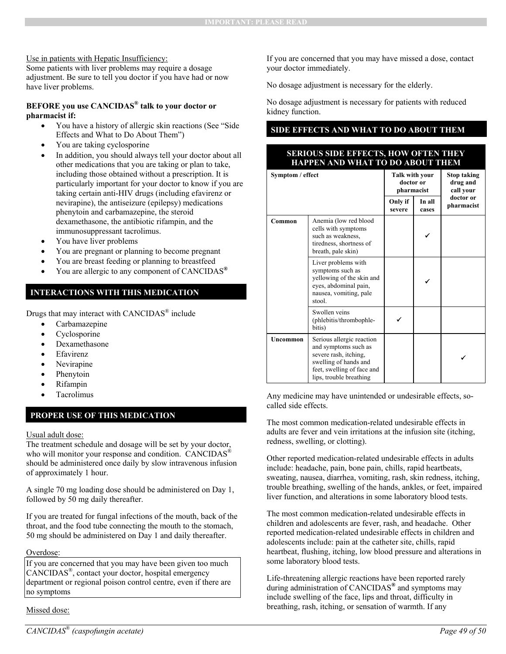#### Use in patients with Hepatic Insufficiency:

Some patients with liver problems may require a dosage adjustment. Be sure to tell you doctor if you have had or now have liver problems.

#### **BEFORE you use CANCIDAS® talk to your doctor or pharmacist if:**

- You have a history of allergic skin reactions (See "Side Effects and What to Do About Them")
- You are taking cyclosporine
- In addition, you should always tell your doctor about all other medications that you are taking or plan to take, including those obtained without a prescription. It is particularly important for your doctor to know if you are taking certain anti-HIV drugs (including efavirenz or nevirapine), the antiseizure (epilepsy) medications phenytoin and carbamazepine, the steroid dexamethasone, the antibiotic rifampin, and the immunosuppressant tacrolimus.
- You have liver problems
- You are pregnant or planning to become pregnant
- You are breast feeding or planning to breastfeed
- You are allergic to any component of CANCIDAS**®**

#### **INTERACTIONS WITH THIS MEDICATION**

Drugs that may interact with CANCIDAS® include

- Carbamazepine
- Cyclosporine
- Dexamethasone
- Efavirenz
- Nevirapine
- Phenytoin
- Rifampin
- Tacrolimus

### **PROPER USE OF THIS MEDICATION**

#### Usual adult dose:

The treatment schedule and dosage will be set by your doctor, who will monitor your response and condition. CANCIDAS<sup>®</sup> should be administered once daily by slow intravenous infusion of approximately 1 hour.

A single 70 mg loading dose should be administered on Day 1, followed by 50 mg daily thereafter.

If you are treated for fungal infections of the mouth, back of the throat, and the food tube connecting the mouth to the stomach, 50 mg should be administered on Day 1 and daily thereafter.

#### Overdose:

If you are concerned that you may have been given too much CANCIDAS®, contact your doctor, hospital emergency department or regional poison control centre, even if there are no symptoms

Missed dose:

If you are concerned that you may have missed a dose, contact your doctor immediately.

No dosage adjustment is necessary for the elderly.

No dosage adjustment is necessary for patients with reduced kidney function.

### **SIDE EFFECTS AND WHAT TO DO ABOUT THEM**

#### **SERIOUS SIDE EFFECTS, HOW OFTEN THEY HAPPEN AND WHAT TO DO ABOUT THEM**

| Symptom / effect |                                                                                                                                                              | Talk with your<br>doctor or<br>pharmacist |                 | <b>Stop taking</b><br>drug and<br>call your |
|------------------|--------------------------------------------------------------------------------------------------------------------------------------------------------------|-------------------------------------------|-----------------|---------------------------------------------|
|                  |                                                                                                                                                              | Only if<br>severe                         | In all<br>cases | doctor or<br>pharmacist                     |
| Common           | Anemia (low red blood<br>cells with symptoms<br>such as weakness,<br>tiredness, shortness of<br>breath, pale skin)                                           |                                           |                 |                                             |
|                  | Liver problems with<br>symptoms such as<br>yellowing of the skin and<br>eyes, abdominal pain,<br>nausea, vomiting, pale<br>stool.                            |                                           |                 |                                             |
|                  | Swollen veins<br>(phlebitis/thrombophle-<br>bitis)                                                                                                           |                                           |                 |                                             |
| Uncommon         | Serious allergic reaction<br>and symptoms such as<br>severe rash, itching,<br>swelling of hands and<br>feet, swelling of face and<br>lips, trouble breathing |                                           |                 |                                             |

Any medicine may have unintended or undesirable effects, socalled side effects.

The most common medication-related undesirable effects in adults are fever and vein irritations at the infusion site (itching, redness, swelling, or clotting).

Other reported medication-related undesirable effects in adults include: headache, pain, bone pain, chills, rapid heartbeats, sweating, nausea, diarrhea, vomiting, rash, skin redness, itching, trouble breathing, swelling of the hands, ankles, or feet, impaired liver function, and alterations in some laboratory blood tests.

The most common medication-related undesirable effects in children and adolescents are fever, rash, and headache. Other reported medication-related undesirable effects in children and adolescents include: pain at the catheter site, chills, rapid heartbeat, flushing, itching, low blood pressure and alterations in some laboratory blood tests.

Life-threatening allergic reactions have been reported rarely during administration of CANCIDAS**®** and symptoms may include swelling of the face, lips and throat, difficulty in breathing, rash, itching, or sensation of warmth. If any